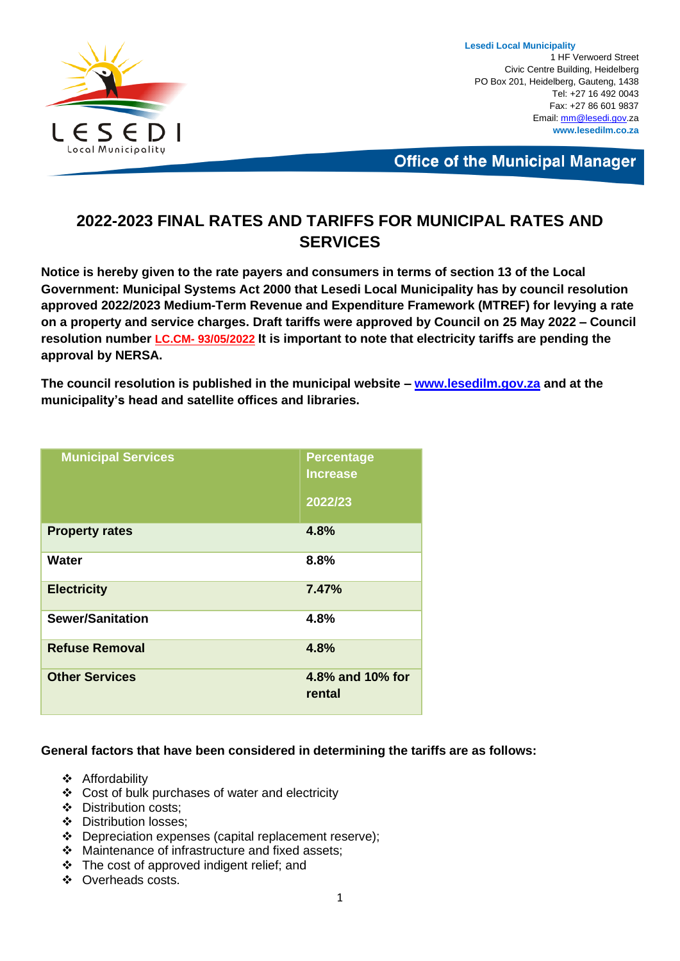

**Lesedi Local Municipality** 1 HF Verwoerd Street Civic Centre Building, Heidelberg PO Box 201, Heidelberg, Gauteng, 1438 Tel: +27 16 492 0043 Fax: +27 86 601 9837 Email[: mm@lesedi.gov.](mailto:mm@lesedi.gov)za **www.lesedilm.co.za**

**Office of the Municipal Manager** 

### **2022-2023 FINAL RATES AND TARIFFS FOR MUNICIPAL RATES AND SERVICES**

**Notice is hereby given to the rate payers and consumers in terms of section 13 of the Local Government: Municipal Systems Act 2000 that Lesedi Local Municipality has by council resolution approved 2022/2023 Medium-Term Revenue and Expenditure Framework (MTREF) for levying a rate on a property and service charges. Draft tariffs were approved by Council on 25 May 2022 – Council resolution number LC.CM- 93/05/2022 It is important to note that electricity tariffs are pending the approval by NERSA.**

**The council resolution is published in the municipal website – [www.lesedilm.gov.za](http://www.lesedilm.gov.za/) and at the municipality's head and satellite offices and libraries.**

| <b>Municipal Services</b> | <b>Percentage</b><br><b>Increase</b><br>2022/23 |
|---------------------------|-------------------------------------------------|
| <b>Property rates</b>     | 4.8%                                            |
| Water                     | 8.8%                                            |
| <b>Electricity</b>        | 7.47%                                           |
| <b>Sewer/Sanitation</b>   | 4.8%                                            |
| <b>Refuse Removal</b>     | 4.8%                                            |
| <b>Other Services</b>     | 4.8% and 10% for<br>rental                      |

#### **General factors that have been considered in determining the tariffs are as follows:**

- ❖ Affordability
- ❖ Cost of bulk purchases of water and electricity
- ❖ Distribution costs;
- ❖ Distribution losses;
- ❖ Depreciation expenses (capital replacement reserve);
- ❖ Maintenance of infrastructure and fixed assets;
- ❖ The cost of approved indigent relief; and
- ❖ Overheads costs.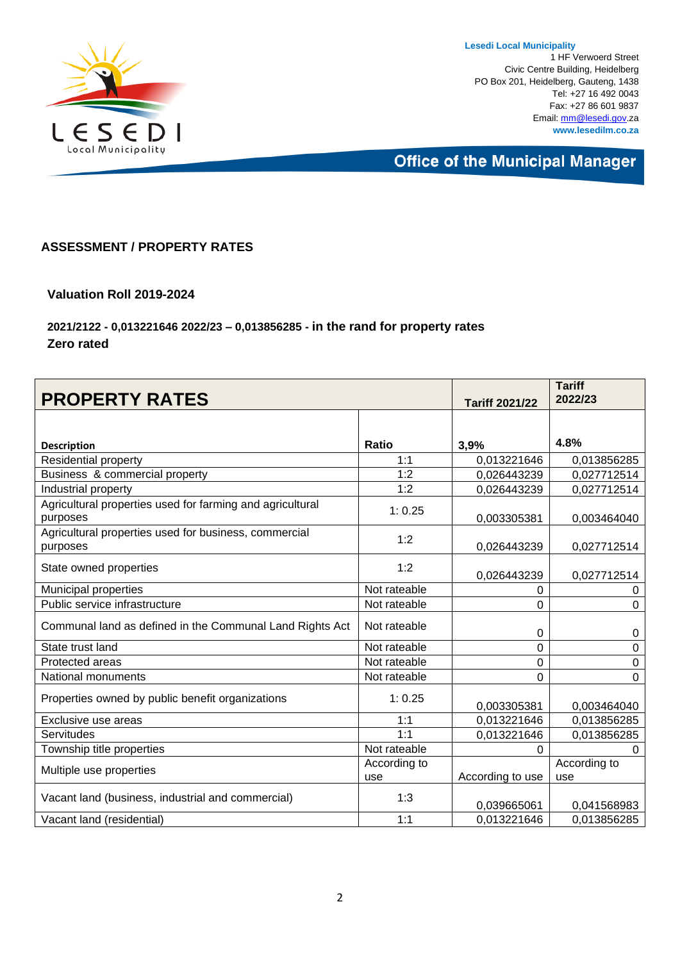

**Lesedi Local Municipality** 1 HF Verwoerd Street Civic Centre Building, Heidelberg PO Box 201, Heidelberg, Gauteng, 1438 Tel: +27 16 492 0043 Fax: +27 86 601 9837 Email[: mm@lesedi.gov.](mailto:mm@lesedi.gov)za **www.lesedilm.co.za**

**Office of the Municipal Manager** 

#### **ASSESSMENT / PROPERTY RATES**

#### **Valuation Roll 2019-2024**

#### **2021/2122 - 0,013221646 2022/23 – 0,013856285 - in the rand for property rates Zero rated**

| <b>PROPERTY RATES</b>                                                 |                     | <b>Tariff 2021/22</b> | <b>Tariff</b><br>2022/23 |
|-----------------------------------------------------------------------|---------------------|-----------------------|--------------------------|
|                                                                       |                     |                       |                          |
| <b>Description</b>                                                    | <b>Ratio</b>        | 3,9%                  | 4.8%                     |
| Residential property                                                  | 1:1                 | 0,013221646           | 0,013856285              |
| Business & commercial property                                        | 1:2                 | 0,026443239           | 0,027712514              |
| Industrial property                                                   | 1:2                 | 0,026443239           | 0,027712514              |
| Agricultural properties used for farming and agricultural<br>purposes | 1:0.25              | 0,003305381           | 0,003464040              |
| Agricultural properties used for business, commercial<br>purposes     | 1:2                 | 0,026443239           | 0,027712514              |
| State owned properties                                                | 1:2                 | 0,026443239           | 0,027712514              |
| Municipal properties                                                  | Not rateable        | 0                     | 0                        |
| Public service infrastructure                                         | Not rateable        | 0                     | $\Omega$                 |
| Communal land as defined in the Communal Land Rights Act              | Not rateable        | 0                     | 0                        |
| State trust land                                                      | Not rateable        | 0                     | 0                        |
| Protected areas                                                       | Not rateable        | $\Omega$              | 0                        |
| National monuments                                                    | Not rateable        | 0                     | 0                        |
| Properties owned by public benefit organizations                      | 1:0.25              | 0,003305381           | 0,003464040              |
| Exclusive use areas                                                   | 1:1                 | 0,013221646           | 0,013856285              |
| Servitudes                                                            | 1:1                 | 0,013221646           | 0,013856285              |
| Township title properties                                             | Not rateable        | 0                     | $\Omega$                 |
| Multiple use properties                                               | According to<br>use | According to use      | According to<br>use      |
| Vacant land (business, industrial and commercial)                     | 1:3                 | 0,039665061           | 0,041568983              |
| Vacant land (residential)                                             | 1:1                 | 0,013221646           | 0,013856285              |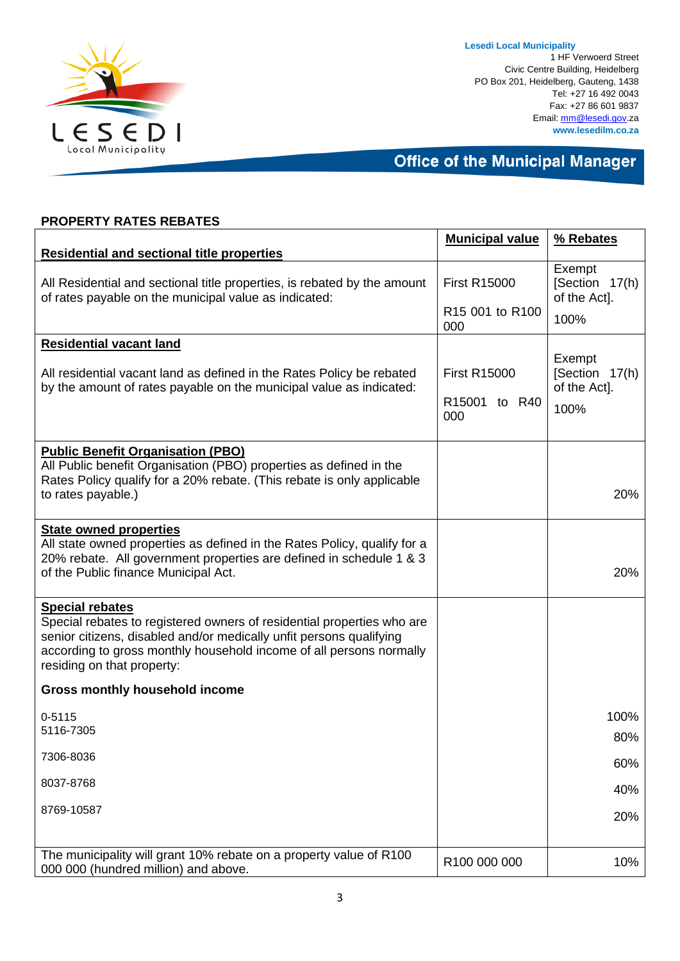

**Lesedi Local Municipality** 1 HF Verwoerd Street Civic Centre Building, Heidelberg PO Box 201, Heidelberg, Gauteng, 1438 Tel: +27 16 492 0043 Fax: +27 86 601 9837 Email[: mm@lesedi.gov.](mailto:mm@lesedi.gov)za **www.lesedilm.co.za**

**Office of the Municipal Manager** 

|                                                                                                                                                                                                                                                                              | <b>Municipal value</b>                         | % Rebates                                        |
|------------------------------------------------------------------------------------------------------------------------------------------------------------------------------------------------------------------------------------------------------------------------------|------------------------------------------------|--------------------------------------------------|
| <b>Residential and sectional title properties</b>                                                                                                                                                                                                                            |                                                |                                                  |
| All Residential and sectional title properties, is rebated by the amount<br>of rates payable on the municipal value as indicated:                                                                                                                                            | <b>First R15000</b>                            | Exempt<br>[Section 17(h)<br>of the Act].         |
|                                                                                                                                                                                                                                                                              | R <sub>15</sub> 001 to R <sub>100</sub><br>000 | 100%                                             |
| <b>Residential vacant land</b>                                                                                                                                                                                                                                               |                                                |                                                  |
| All residential vacant land as defined in the Rates Policy be rebated<br>by the amount of rates payable on the municipal value as indicated:                                                                                                                                 | <b>First R15000</b><br>R15001 to R40<br>000    | Exempt<br>[Section 17(h)<br>of the Act].<br>100% |
| <b>Public Benefit Organisation (PBO)</b>                                                                                                                                                                                                                                     |                                                |                                                  |
| All Public benefit Organisation (PBO) properties as defined in the                                                                                                                                                                                                           |                                                |                                                  |
| Rates Policy qualify for a 20% rebate. (This rebate is only applicable<br>to rates payable.)                                                                                                                                                                                 |                                                | 20%                                              |
| <b>State owned properties</b>                                                                                                                                                                                                                                                |                                                |                                                  |
| All state owned properties as defined in the Rates Policy, qualify for a<br>20% rebate. All government properties are defined in schedule 1 & 3                                                                                                                              |                                                |                                                  |
| of the Public finance Municipal Act.                                                                                                                                                                                                                                         |                                                | 20%                                              |
| <b>Special rebates</b><br>Special rebates to registered owners of residential properties who are<br>senior citizens, disabled and/or medically unfit persons qualifying<br>according to gross monthly household income of all persons normally<br>residing on that property: |                                                |                                                  |
| <b>Gross monthly household income</b>                                                                                                                                                                                                                                        |                                                |                                                  |
| $0 - 5115$                                                                                                                                                                                                                                                                   |                                                | 100%                                             |
| 5116-7305                                                                                                                                                                                                                                                                    |                                                | 80%                                              |
| 7306-8036                                                                                                                                                                                                                                                                    |                                                | 60%                                              |
| 8037-8768                                                                                                                                                                                                                                                                    |                                                | 40%                                              |
| 8769-10587                                                                                                                                                                                                                                                                   |                                                | 20%                                              |
|                                                                                                                                                                                                                                                                              |                                                |                                                  |
| The municipality will grant 10% rebate on a property value of R100<br>000 000 (hundred million) and above.                                                                                                                                                                   | R100 000 000                                   | 10%                                              |

### **PROPERTY RATES REBATES**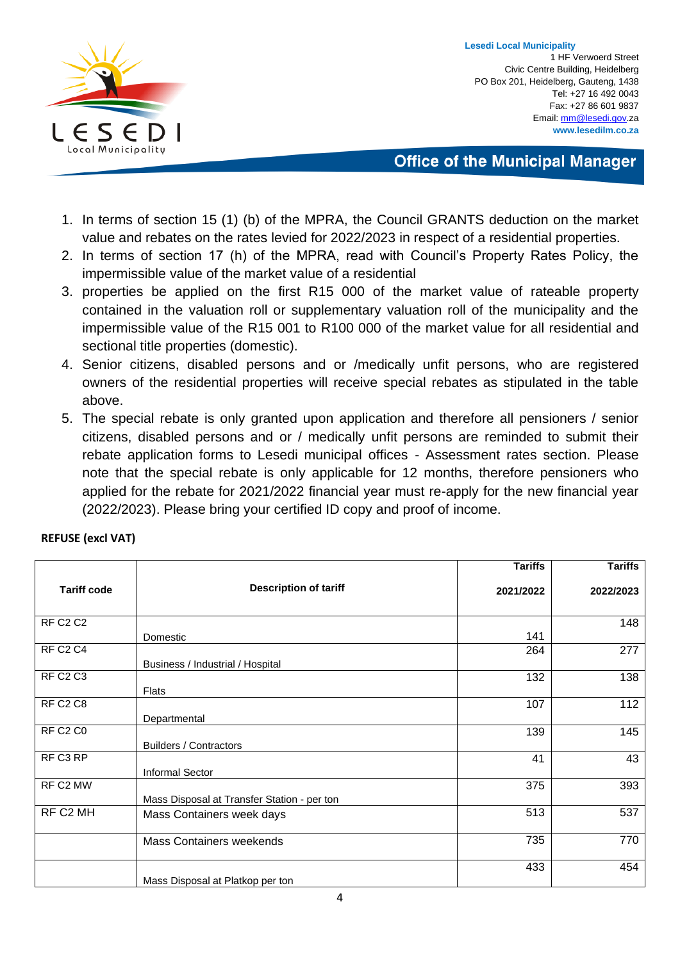

**Lesedi Local Municipality** 1 HF Verwoerd Street Civic Centre Building, Heidelberg PO Box 201, Heidelberg, Gauteng, 1438 Tel: +27 16 492 0043 Fax: +27 86 601 9837 Email[: mm@lesedi.gov.](mailto:mm@lesedi.gov)za **www.lesedilm.co.za**

**Office of the Municipal Manager** 

- 1. In terms of section 15 (1) (b) of the MPRA, the Council GRANTS deduction on the market value and rebates on the rates levied for 2022/2023 in respect of a residential properties.
- 2. In terms of section 17 (h) of the MPRA, read with Council's Property Rates Policy, the impermissible value of the market value of a residential
- 3. properties be applied on the first R15 000 of the market value of rateable property contained in the valuation roll or supplementary valuation roll of the municipality and the impermissible value of the R15 001 to R100 000 of the market value for all residential and sectional title properties (domestic).
- 4. Senior citizens, disabled persons and or /medically unfit persons, who are registered owners of the residential properties will receive special rebates as stipulated in the table above.
- 5. The special rebate is only granted upon application and therefore all pensioners / senior citizens, disabled persons and or / medically unfit persons are reminded to submit their rebate application forms to Lesedi municipal offices - Assessment rates section. Please note that the special rebate is only applicable for 12 months, therefore pensioners who applied for the rebate for 2021/2022 financial year must re-apply for the new financial year (2022/2023). Please bring your certified ID copy and proof of income.

|                                  |                                             | <b>Tariffs</b> | <b>Tariffs</b> |
|----------------------------------|---------------------------------------------|----------------|----------------|
| <b>Tariff code</b>               | <b>Description of tariff</b>                | 2021/2022      | 2022/2023      |
| <b>RF C2 C2</b>                  |                                             |                | 148            |
|                                  | Domestic                                    | 141            |                |
| <b>RF C2 C4</b>                  |                                             | 264            | 277            |
|                                  | Business / Industrial / Hospital            |                |                |
| RF C <sub>2</sub> C <sub>3</sub> |                                             | 132            | 138            |
|                                  | <b>Flats</b>                                |                |                |
| RF C <sub>2</sub> C <sub>8</sub> |                                             | 107            | 112            |
|                                  | Departmental                                |                |                |
| RF C <sub>2</sub> C <sub>0</sub> |                                             | 139            | 145            |
|                                  | <b>Builders / Contractors</b>               |                |                |
| RF C3 RP                         | Informal Sector                             | 41             | 43             |
| RF C2 MW                         |                                             | 375            | 393            |
|                                  | Mass Disposal at Transfer Station - per ton |                |                |
| RF C2 MH                         | Mass Containers week days                   | 513            | 537            |
|                                  | <b>Mass Containers weekends</b>             | 735            | 770            |
|                                  |                                             | 433            | 454            |
|                                  | Mass Disposal at Platkop per ton            |                |                |

#### **REFUSE (excl VAT)**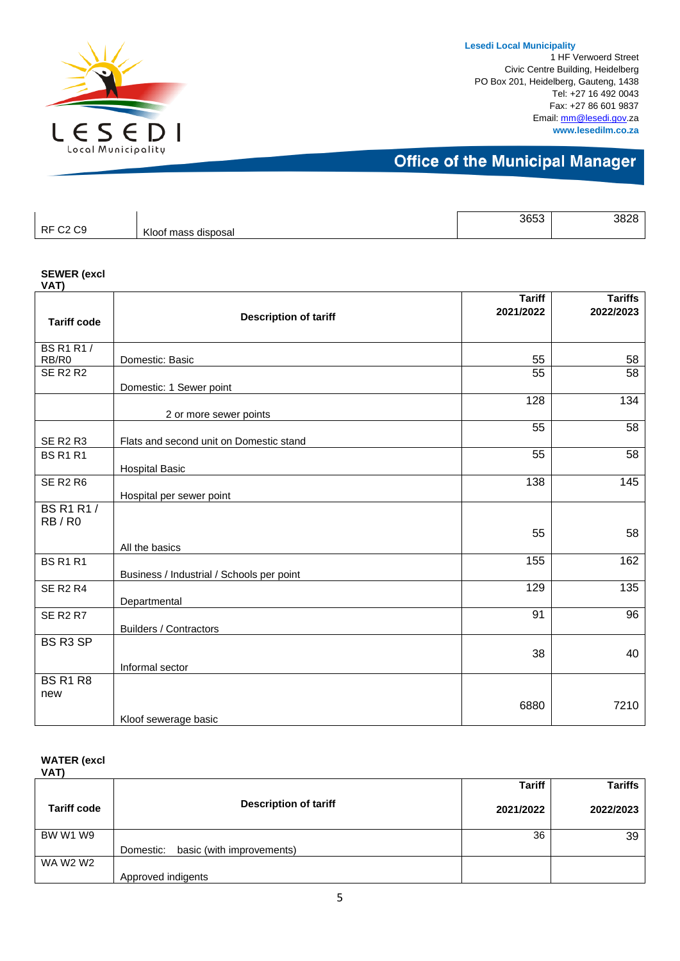

1 HF Verwoerd Street Civic Centre Building, Heidelberg PO Box 201, Heidelberg, Gauteng, 1438 Tel: +27 16 492 0043 Fax: +27 86 601 9837 Email[: mm@lesedi.gov.](mailto:mm@lesedi.gov)za **www.lesedilm.co.za**

## **Office of the Municipal Manager**

|                                    |                        | 3653 | 3828 |
|------------------------------------|------------------------|------|------|
| RF (<br>C <sub>9</sub><br>ົ^<br>ےب | Kloof mass<br>disposal |      |      |

#### **SEWER (excl**

| VAT)               |                                           | <b>Tariff</b> | <b>Tariffs</b> |
|--------------------|-------------------------------------------|---------------|----------------|
|                    | <b>Description of tariff</b>              | 2021/2022     | 2022/2023      |
| <b>Tariff code</b> |                                           |               |                |
| <b>BS R1 R1/</b>   |                                           |               |                |
| RB/R0              | Domestic: Basic                           | 55            | 58             |
| <b>SE R2 R2</b>    |                                           | 55            | 58             |
|                    | Domestic: 1 Sewer point                   |               |                |
|                    |                                           | 128           | 134            |
|                    | 2 or more sewer points                    |               |                |
|                    |                                           | 55            | 58             |
| <b>SE R2 R3</b>    | Flats and second unit on Domestic stand   |               |                |
| <b>BS R1 R1</b>    |                                           | 55            | 58             |
|                    | <b>Hospital Basic</b>                     |               |                |
| <b>SE R2 R6</b>    |                                           | 138           | 145            |
|                    | Hospital per sewer point                  |               |                |
| <b>BS R1 R1/</b>   |                                           |               |                |
| RB/R0              |                                           |               |                |
|                    |                                           | 55            | 58             |
|                    | All the basics                            |               |                |
| <b>BS R1 R1</b>    |                                           | 155           | 162            |
|                    | Business / Industrial / Schools per point |               |                |
| <b>SE R2 R4</b>    |                                           | 129           | 135            |
|                    | Departmental                              |               |                |
| <b>SE R2 R7</b>    |                                           | 91            | 96             |
|                    | <b>Builders / Contractors</b>             |               |                |
| BS R3 SP           |                                           |               |                |
|                    |                                           | 38            | 40             |
|                    | Informal sector                           |               |                |
| <b>BS R1 R8</b>    |                                           |               |                |
| new                |                                           |               |                |
|                    |                                           | 6880          | 7210           |
|                    | Kloof sewerage basic                      |               |                |

#### **WATER (excl VAT)**

|                    |                                     | <b>Tariff</b> | Tariffs   |
|--------------------|-------------------------------------|---------------|-----------|
| <b>Tariff code</b> | <b>Description of tariff</b>        | 2021/2022     | 2022/2023 |
| BW W1 W9           |                                     | 36            | 39        |
|                    | Domestic: basic (with improvements) |               |           |
| WA W2 W2           |                                     |               |           |
|                    | Approved indigents                  |               |           |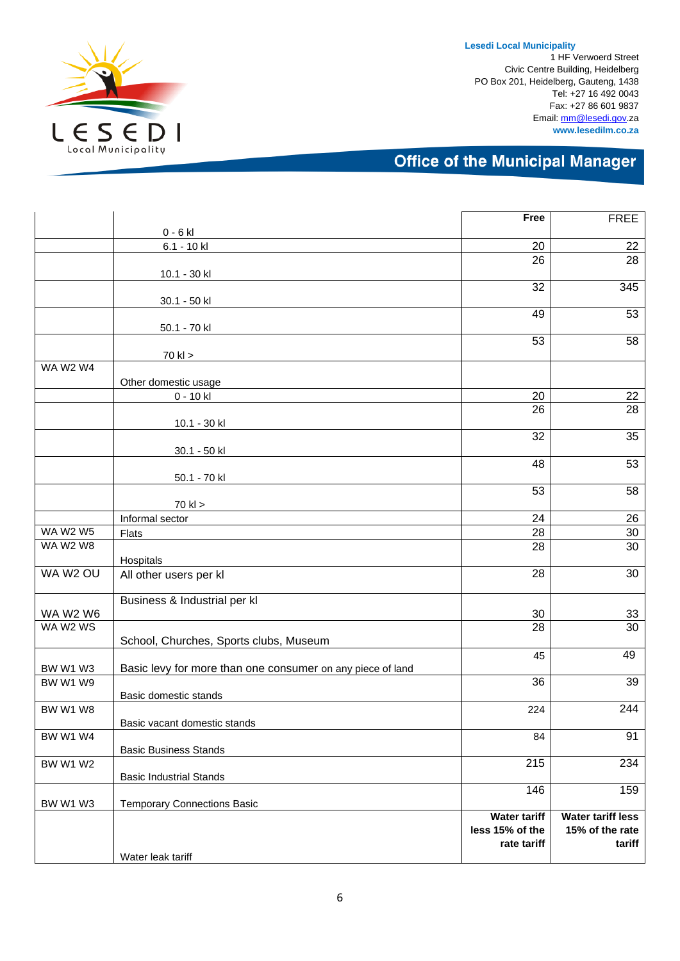

1 HF Verwoerd Street Civic Centre Building, Heidelberg PO Box 201, Heidelberg, Gauteng, 1438 Tel: +27 16 492 0043 Fax: +27 86 601 9837 Email[: mm@lesedi.gov.](mailto:mm@lesedi.gov)za **www.lesedilm.co.za**

|                                    |                                                            | Free                  | <b>FREE</b>              |
|------------------------------------|------------------------------------------------------------|-----------------------|--------------------------|
|                                    | $0 - 6$ kl                                                 |                       |                          |
|                                    | 6.1 - 10 kl                                                | 20                    | 22                       |
|                                    |                                                            | 26                    | 28                       |
|                                    | 10.1 - 30 kl                                               |                       |                          |
|                                    |                                                            | 32                    | 345                      |
|                                    | 30.1 - 50 kl                                               | 49                    | 53                       |
|                                    |                                                            |                       |                          |
|                                    | 50.1 - 70 kl                                               | 53                    | 58                       |
|                                    | 70 kl >                                                    |                       |                          |
| <b>WA W2 W4</b>                    |                                                            |                       |                          |
|                                    | Other domestic usage                                       |                       |                          |
|                                    | 0 - 10 kl                                                  | 20                    | 22                       |
|                                    |                                                            | 26                    | 28                       |
|                                    | 10.1 - 30 kl                                               |                       |                          |
|                                    |                                                            | 32                    | 35                       |
|                                    | 30.1 - 50 kl                                               |                       |                          |
|                                    |                                                            | 48                    | 53                       |
|                                    | 50.1 - 70 kl                                               |                       |                          |
|                                    |                                                            | 53                    | 58                       |
|                                    | $70$ kl $>$                                                |                       |                          |
|                                    | Informal sector                                            | 24                    | 26                       |
| <b>WA W2 W5</b><br><b>WA W2 W8</b> | <b>Flats</b>                                               | 28<br>$\overline{28}$ | 30                       |
|                                    |                                                            |                       | 30                       |
| WA W2 OU                           | Hospitals                                                  | 28                    | 30                       |
|                                    | All other users per kl                                     |                       |                          |
|                                    | Business & Industrial per kl                               |                       |                          |
| <b>WA W2 W6</b>                    |                                                            | 30                    | 33                       |
| WA W2 WS                           |                                                            | $\overline{28}$       | $\overline{30}$          |
|                                    | School, Churches, Sports clubs, Museum                     |                       |                          |
|                                    |                                                            | 45                    | 49                       |
| BW W1 W3                           | Basic levy for more than one consumer on any piece of land |                       |                          |
| BW W1 W9                           |                                                            | 36                    | 39                       |
|                                    | Basic domestic stands                                      |                       |                          |
| <b>BW W1 W8</b>                    |                                                            | 224                   | 244                      |
|                                    | Basic vacant domestic stands                               |                       |                          |
| <b>BW W1 W4</b>                    |                                                            | 84                    | 91                       |
|                                    | <b>Basic Business Stands</b>                               | 215                   | 234                      |
| <b>BW W1 W2</b>                    | <b>Basic Industrial Stands</b>                             |                       |                          |
|                                    |                                                            | 146                   | 159                      |
| BW W1 W3                           | <b>Temporary Connections Basic</b>                         |                       |                          |
|                                    |                                                            | <b>Water tariff</b>   | <b>Water tariff less</b> |
|                                    |                                                            | less 15% of the       | 15% of the rate          |
|                                    |                                                            | rate tariff           | tariff                   |
|                                    | Water leak tariff                                          |                       |                          |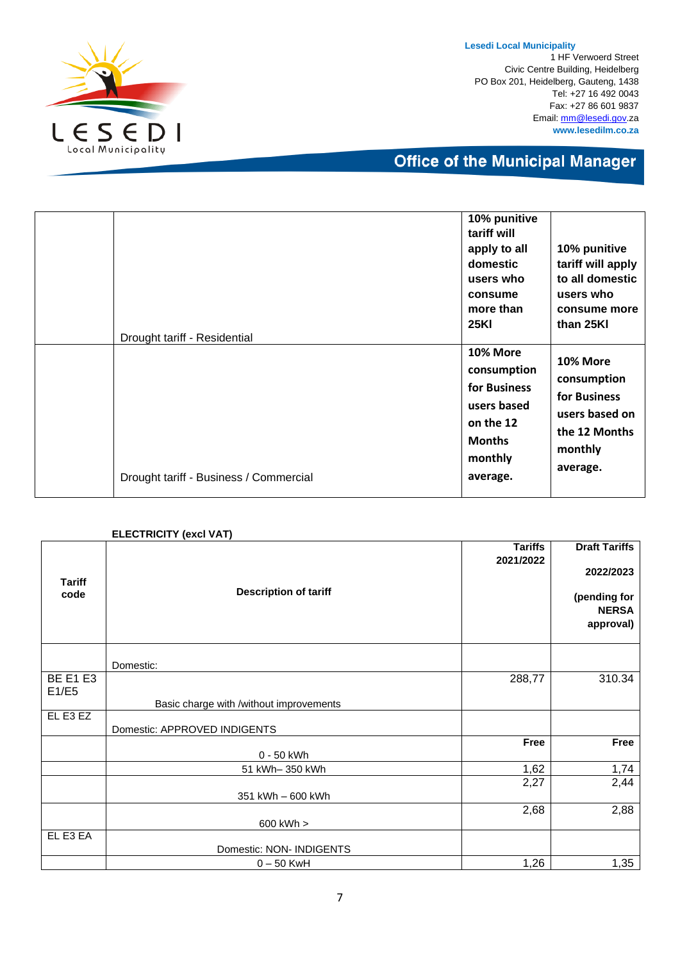

1 HF Verwoerd Street Civic Centre Building, Heidelberg PO Box 201, Heidelberg, Gauteng, 1438 Tel: +27 16 492 0043 Fax: +27 86 601 9837 Email[: mm@lesedi.gov.](mailto:mm@lesedi.gov)za **www.lesedilm.co.za**

| Drought tariff - Residential           | 10% punitive<br>tariff will<br>apply to all<br>domestic<br>users who<br>consume<br>more than<br><b>25KI</b> | 10% punitive<br>tariff will apply<br>to all domestic<br>users who<br>consume more<br>than 25KI    |
|----------------------------------------|-------------------------------------------------------------------------------------------------------------|---------------------------------------------------------------------------------------------------|
| Drought tariff - Business / Commercial | 10% More<br>consumption<br>for Business<br>users based<br>on the 12<br><b>Months</b><br>monthly<br>average. | 10% More<br>consumption<br>for Business<br>users based on<br>the 12 Months<br>monthly<br>average. |

|                       | <b>ELECTRICITY (excl VAT)</b>           |                                   |                                                               |
|-----------------------|-----------------------------------------|-----------------------------------|---------------------------------------------------------------|
| <b>Tariff</b><br>code | <b>Tariffs</b><br>2021/2022             | <b>Draft Tariffs</b><br>2022/2023 |                                                               |
|                       | <b>Description of tariff</b>            |                                   | (pending for<br><b>NERSA</b><br>approval)<br>310.34<br>288,77 |
|                       | Domestic:                               |                                   |                                                               |
| <b>BE E1 E3</b>       |                                         |                                   |                                                               |
| E1/E5                 | Basic charge with /without improvements |                                   |                                                               |
| EL E3 EZ              | Domestic: APPROVED INDIGENTS            |                                   |                                                               |
|                       | 0 - 50 kWh                              | Free                              | Free                                                          |
|                       | 51 kWh-350 kWh                          | 1,62                              | 1,74                                                          |
|                       | 351 kWh - 600 kWh                       | 2,27                              | 2,44                                                          |
|                       | 600 kWh >                               | 2,68                              | 2,88                                                          |
| EL E3 EA              | Domestic: NON- INDIGENTS                |                                   |                                                               |
|                       | $0 - 50$ KwH                            | 1,26                              | 1,35                                                          |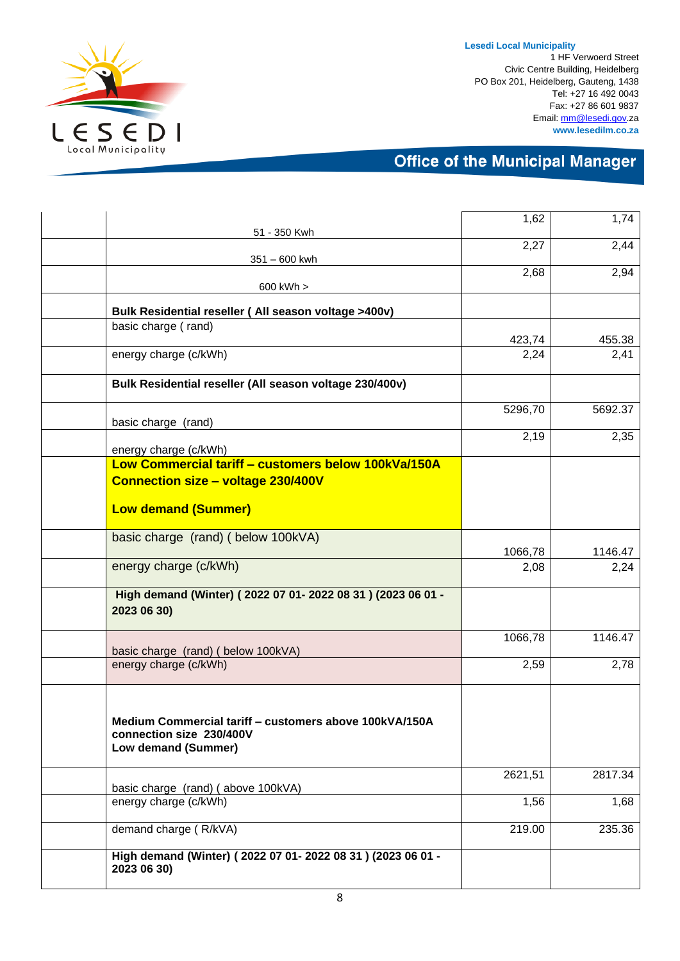

1 HF Verwoerd Street Civic Centre Building, Heidelberg PO Box 201, Heidelberg, Gauteng, 1438 Tel: +27 16 492 0043 Fax: +27 86 601 9837 Email[: mm@lesedi.gov.](mailto:mm@lesedi.gov)za **www.lesedilm.co.za**

|                                                                           | 1,62           | 1,74           |
|---------------------------------------------------------------------------|----------------|----------------|
| 51 - 350 Kwh                                                              |                |                |
|                                                                           | 2,27           | 2,44           |
| $351 - 600$ kwh                                                           | 2,68           | 2,94           |
| 600 kWh >                                                                 |                |                |
| Bulk Residential reseller (All season voltage >400v)                      |                |                |
| basic charge (rand)                                                       |                |                |
| energy charge (c/kWh)                                                     | 423,74<br>2,24 | 455.38<br>2,41 |
|                                                                           |                |                |
| Bulk Residential reseller (All season voltage 230/400v)                   |                |                |
|                                                                           | 5296,70        | 5692.37        |
| basic charge (rand)                                                       | 2,19           | 2,35           |
| energy charge (c/kWh)                                                     |                |                |
| Low Commercial tariff - customers below 100kVa/150A                       |                |                |
| <b>Connection size - voltage 230/400V</b>                                 |                |                |
| <b>Low demand (Summer)</b>                                                |                |                |
|                                                                           |                |                |
| basic charge (rand) (below 100kVA)                                        |                |                |
|                                                                           | 1066,78        | 1146.47        |
| energy charge (c/kWh)                                                     | 2,08           | 2,24           |
| High demand (Winter) (2022 07 01- 2022 08 31) (2023 06 01 -               |                |                |
| 2023 06 30)                                                               |                |                |
|                                                                           | 1066,78        | 1146.47        |
| basic charge (rand) ( below 100kVA)                                       |                |                |
| energy charge (c/kWh)                                                     | 2,59           | 2,78           |
|                                                                           |                |                |
| Medium Commercial tariff - customers above 100kVA/150A                    |                |                |
| connection size 230/400V                                                  |                |                |
| Low demand (Summer)                                                       |                |                |
|                                                                           | 2621,51        | 2817.34        |
| basic charge (rand) (above 100kVA)                                        |                |                |
| energy charge (c/kWh)                                                     | 1,56           | 1,68           |
| demand charge (R/kVA)                                                     | 219.00         | 235.36         |
|                                                                           |                |                |
| High demand (Winter) (2022 07 01-2022 08 31) (2023 06 01 -<br>2023 06 30) |                |                |
|                                                                           |                |                |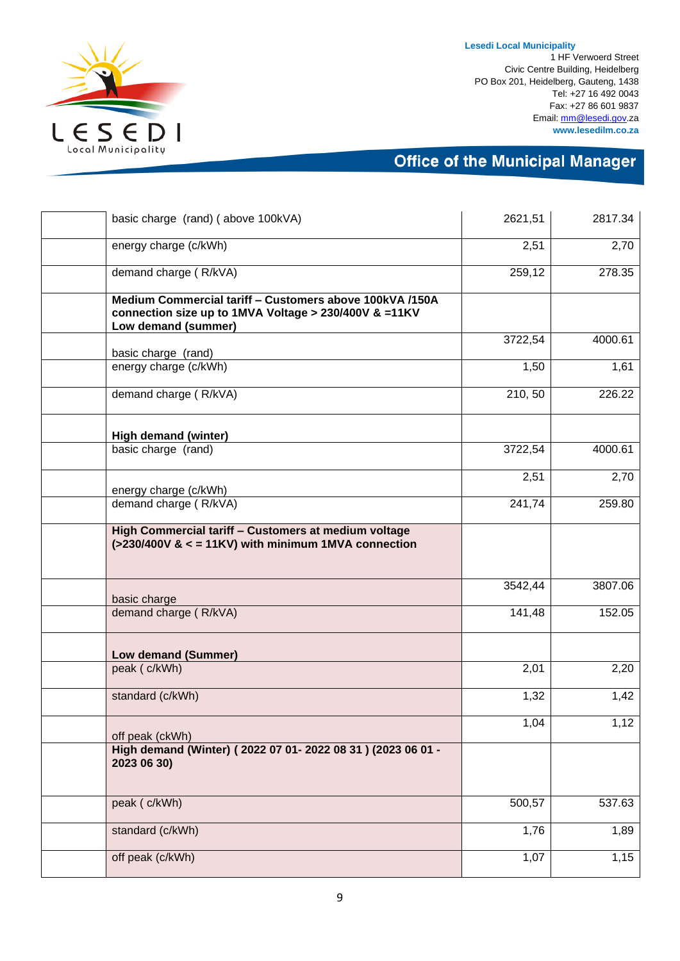

1 HF Verwoerd Street Civic Centre Building, Heidelberg PO Box 201, Heidelberg, Gauteng, 1438 Tel: +27 16 492 0043 Fax: +27 86 601 9837 Email[: mm@lesedi.gov.](mailto:mm@lesedi.gov)za **www.lesedilm.co.za**

| basic charge (rand) (above 100kVA)                                                                                                      | 2621,51 | 2817.34 |
|-----------------------------------------------------------------------------------------------------------------------------------------|---------|---------|
| energy charge (c/kWh)                                                                                                                   | 2,51    | 2,70    |
| demand charge (R/kVA)                                                                                                                   | 259,12  | 278.35  |
| Medium Commercial tariff - Customers above 100kVA /150A<br>connection size up to 1MVA Voltage > 230/400V & =11KV<br>Low demand (summer) |         |         |
|                                                                                                                                         | 3722,54 | 4000.61 |
| basic charge (rand)<br>energy charge (c/kWh)                                                                                            | 1,50    | 1,61    |
| demand charge (R/kVA)                                                                                                                   | 210, 50 | 226.22  |
| High demand (winter)                                                                                                                    |         |         |
| basic charge (rand)                                                                                                                     | 3722,54 | 4000.61 |
| energy charge (c/kWh)                                                                                                                   | 2,51    | 2,70    |
| demand charge (R/kVA)                                                                                                                   | 241,74  | 259.80  |
| High Commercial tariff - Customers at medium voltage<br>$(>230/400V$ & $<$ = 11KV) with minimum 1MVA connection                         |         |         |
| basic charge                                                                                                                            | 3542,44 | 3807.06 |
| demand charge (R/kVA)                                                                                                                   | 141,48  | 152.05  |
| Low demand (Summer)                                                                                                                     |         |         |
| peak (c/kWh)                                                                                                                            | 2,01    | 2,20    |
| standard (c/kWh)                                                                                                                        | 1,32    | 1,42    |
| off peak (ckWh)                                                                                                                         | 1,04    | 1,12    |
| High demand (Winter) (2022 07 01-2022 08 31) (2023 06 01 -<br>2023 06 30)                                                               |         |         |
| peak ( c/kWh)                                                                                                                           | 500,57  | 537.63  |
| standard (c/kWh)                                                                                                                        | 1,76    | 1,89    |
| off peak (c/kWh)                                                                                                                        | 1,07    | 1,15    |
|                                                                                                                                         |         |         |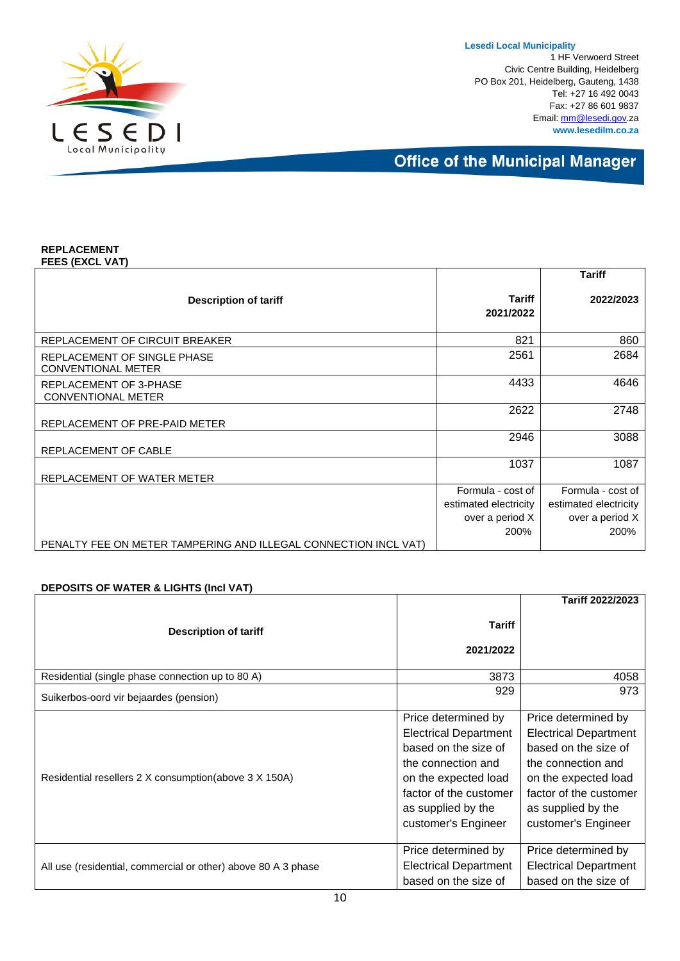1 HF Verwoerd Street Civic Centre Building, Heidelberg PO Box 201, Heidelberg, Gauteng, 1438 Tel: +27 16 492 0043 Fax: +27 86 601 9837 Email[: mm@lesedi.gov.](mailto:mm@lesedi.gov)za **www.lesedilm.co.za**

**Office of the Municipal Manager** 

#### **REPLACEMENT FEES (EXCL VAT)**

|                                                                 |                            | <b>Tariff</b>         |
|-----------------------------------------------------------------|----------------------------|-----------------------|
| <b>Description of tariff</b>                                    | <b>Tariff</b><br>2021/2022 | 2022/2023             |
| REPLACEMENT OF CIRCUIT BREAKER                                  | 821                        | 860                   |
| REPLACEMENT OF SINGLE PHASE<br><b>CONVENTIONAL METER</b>        | 2561                       | 2684                  |
| REPLACEMENT OF 3-PHASE<br><b>CONVENTIONAL METER</b>             | 4433                       | 4646                  |
| REPLACEMENT OF PRE-PAID METER                                   | 2622                       | 2748                  |
| REPLACEMENT OF CABLE                                            | 2946                       | 3088                  |
| REPLACEMENT OF WATER METER                                      | 1037                       | 1087                  |
|                                                                 | Formula - cost of          | Formula - cost of     |
|                                                                 | estimated electricity      | estimated electricity |
|                                                                 | over a period X            | over a period X       |
|                                                                 | 200%                       | 200%                  |
| PENALTY FEE ON METER TAMPERING AND ILLEGAL CONNECTION INCL VAT) |                            |                       |

#### **DEPOSITS OF WATER & LIGHTS (Incl VAT)**

|                                                               |                                                                                                                                                                                                  | Tariff 2022/2023                                                                                                                                                                                 |
|---------------------------------------------------------------|--------------------------------------------------------------------------------------------------------------------------------------------------------------------------------------------------|--------------------------------------------------------------------------------------------------------------------------------------------------------------------------------------------------|
| <b>Description of tariff</b>                                  | Tariff                                                                                                                                                                                           |                                                                                                                                                                                                  |
|                                                               | 2021/2022                                                                                                                                                                                        |                                                                                                                                                                                                  |
| Residential (single phase connection up to 80 A)              | 3873                                                                                                                                                                                             | 4058                                                                                                                                                                                             |
| Suikerbos-oord vir bejaardes (pension)                        | 929                                                                                                                                                                                              | 973                                                                                                                                                                                              |
| Residential resellers 2 X consumption(above 3 X 150A)         | Price determined by<br><b>Electrical Department</b><br>based on the size of<br>the connection and<br>on the expected load<br>factor of the customer<br>as supplied by the<br>customer's Engineer | Price determined by<br><b>Electrical Department</b><br>based on the size of<br>the connection and<br>on the expected load<br>factor of the customer<br>as supplied by the<br>customer's Engineer |
| All use (residential, commercial or other) above 80 A 3 phase | Price determined by<br><b>Electrical Department</b><br>based on the size of                                                                                                                      | Price determined by<br><b>Electrical Department</b><br>based on the size of                                                                                                                      |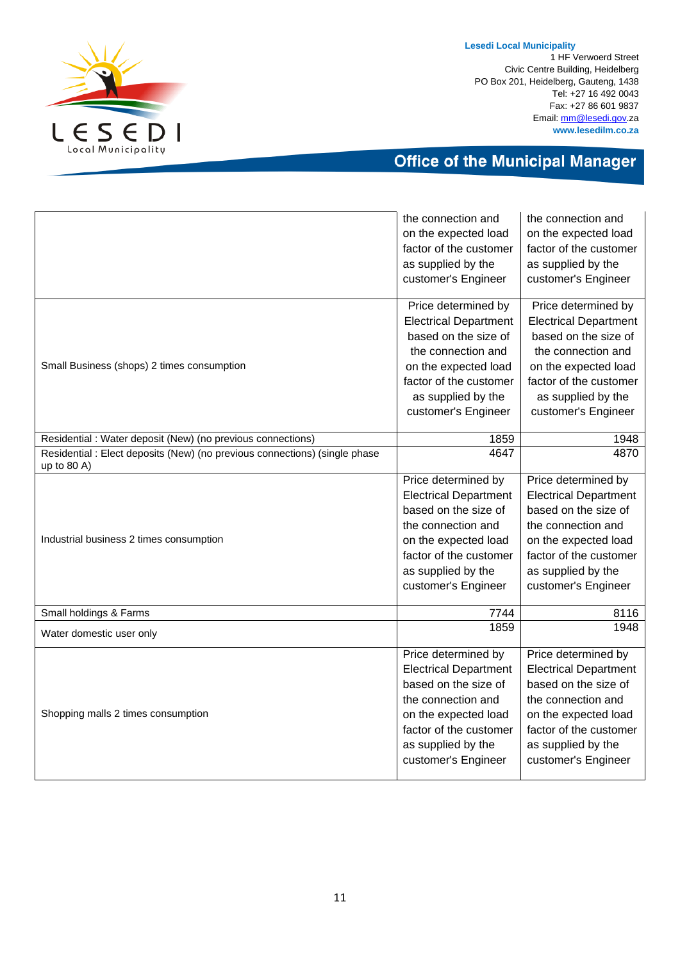

1 HF Verwoerd Street Civic Centre Building, Heidelberg PO Box 201, Heidelberg, Gauteng, 1438 Tel: +27 16 492 0043 Fax: +27 86 601 9837 Email[: mm@lesedi.gov.](mailto:mm@lesedi.gov)za **www.lesedilm.co.za**

|                                                                                             | the connection and           | the connection and           |
|---------------------------------------------------------------------------------------------|------------------------------|------------------------------|
|                                                                                             | on the expected load         | on the expected load         |
|                                                                                             | factor of the customer       | factor of the customer       |
|                                                                                             | as supplied by the           | as supplied by the           |
|                                                                                             | customer's Engineer          | customer's Engineer          |
|                                                                                             | Price determined by          | Price determined by          |
|                                                                                             | <b>Electrical Department</b> | <b>Electrical Department</b> |
|                                                                                             | based on the size of         | based on the size of         |
|                                                                                             | the connection and           | the connection and           |
| Small Business (shops) 2 times consumption                                                  | on the expected load         | on the expected load         |
|                                                                                             | factor of the customer       | factor of the customer       |
|                                                                                             | as supplied by the           | as supplied by the           |
|                                                                                             | customer's Engineer          | customer's Engineer          |
| Residential : Water deposit (New) (no previous connections)                                 | 1859                         | 1948                         |
| Residential : Elect deposits (New) (no previous connections) (single phase<br>up to $80$ A) | 4647                         | 4870                         |
|                                                                                             | Price determined by          | Price determined by          |
|                                                                                             | <b>Electrical Department</b> | <b>Electrical Department</b> |
|                                                                                             | based on the size of         | based on the size of         |
|                                                                                             | the connection and           | the connection and           |
| Industrial business 2 times consumption                                                     | on the expected load         | on the expected load         |
|                                                                                             | factor of the customer       | factor of the customer       |
|                                                                                             | as supplied by the           | as supplied by the           |
|                                                                                             | customer's Engineer          | customer's Engineer          |
| Small holdings & Farms                                                                      | 7744                         | 8116                         |
| Water domestic user only                                                                    | 1859                         | 1948                         |
|                                                                                             | Price determined by          | Price determined by          |
|                                                                                             | <b>Electrical Department</b> | <b>Electrical Department</b> |
|                                                                                             | based on the size of         | based on the size of         |
|                                                                                             | the connection and           | the connection and           |
| Shopping malls 2 times consumption                                                          | on the expected load         | on the expected load         |
|                                                                                             | factor of the customer       | factor of the customer       |
|                                                                                             | as supplied by the           | as supplied by the           |
|                                                                                             | customer's Engineer          | customer's Engineer          |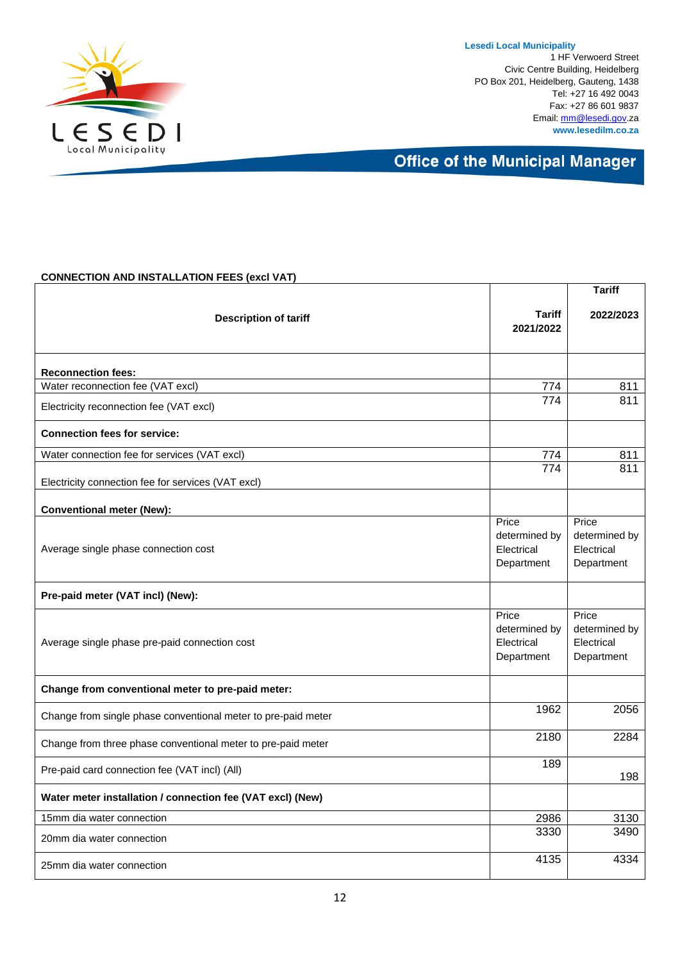

**Lesedi Local Municipality** 1 HF Verwoerd Street Civic Centre Building, Heidelberg PO Box 201, Heidelberg, Gauteng, 1438 Tel: +27 16 492 0043 Fax: +27 86 601 9837 Email[: mm@lesedi.gov.](mailto:mm@lesedi.gov)za **www.lesedilm.co.za**

### **Office of the Municipal Manager**

#### **CONNECTION AND INSTALLATION FEES (excl VAT)**

|                                                               |                                                    | <b>Tariff</b>                                      |
|---------------------------------------------------------------|----------------------------------------------------|----------------------------------------------------|
| <b>Description of tariff</b>                                  | Tariff<br>2021/2022                                | 2022/2023                                          |
| <b>Reconnection fees:</b>                                     |                                                    |                                                    |
| Water reconnection fee (VAT excl)                             | 774                                                | 811                                                |
| Electricity reconnection fee (VAT excl)                       | 774                                                | 811                                                |
| <b>Connection fees for service:</b>                           |                                                    |                                                    |
| Water connection fee for services (VAT excl)                  | 774                                                | 811                                                |
| Electricity connection fee for services (VAT excl)            | $\overline{774}$                                   | 811                                                |
| <b>Conventional meter (New):</b>                              |                                                    |                                                    |
| Average single phase connection cost                          | Price<br>determined by<br>Electrical<br>Department | Price<br>determined by<br>Electrical<br>Department |
| Pre-paid meter (VAT incl) (New):                              |                                                    |                                                    |
| Average single phase pre-paid connection cost                 | Price<br>determined by<br>Electrical<br>Department | Price<br>determined by<br>Electrical<br>Department |
| Change from conventional meter to pre-paid meter:             |                                                    |                                                    |
| Change from single phase conventional meter to pre-paid meter | 1962                                               | 2056                                               |
| Change from three phase conventional meter to pre-paid meter  | 2180                                               | 2284                                               |
| Pre-paid card connection fee (VAT incl) (All)                 | 189                                                | 198                                                |
| Water meter installation / connection fee (VAT excl) (New)    |                                                    |                                                    |
| 15mm dia water connection                                     | 2986                                               | 3130                                               |
| 20mm dia water connection                                     | 3330                                               | 3490                                               |
| 25mm dia water connection                                     | 4135                                               | 4334                                               |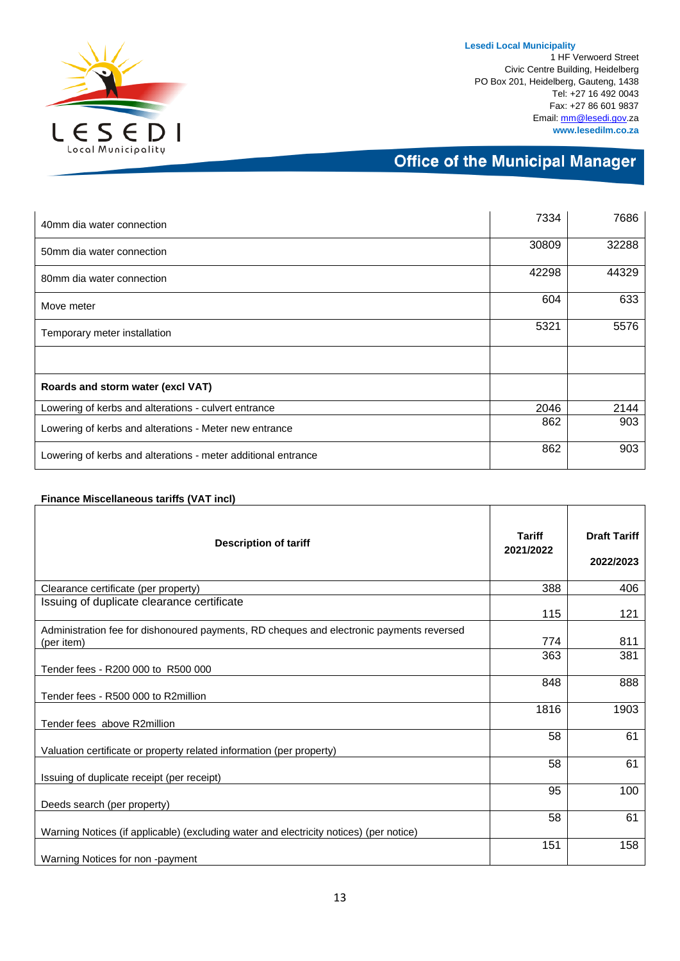

**Finance Miscellaneous tariffs (VAT incl)**

1 HF Verwoerd Street Civic Centre Building, Heidelberg PO Box 201, Heidelberg, Gauteng, 1438 Tel: +27 16 492 0043 Fax: +27 86 601 9837 Email[: mm@lesedi.gov.](mailto:mm@lesedi.gov)za **www.lesedilm.co.za**

### **Office of the Municipal Manager**

| 40mm dia water connection                                     | 7334  | 7686  |
|---------------------------------------------------------------|-------|-------|
| 50mm dia water connection                                     | 30809 | 32288 |
| 80mm dia water connection                                     | 42298 | 44329 |
| Move meter                                                    | 604   | 633   |
| Temporary meter installation                                  | 5321  | 5576  |
|                                                               |       |       |
| Roards and storm water (excl VAT)                             |       |       |
| Lowering of kerbs and alterations - culvert entrance          | 2046  | 2144  |
| Lowering of kerbs and alterations - Meter new entrance        | 862   | 903   |
| Lowering of kerbs and alterations - meter additional entrance | 862   | 903   |

#### **Description of tariff Tariff 2021/2022 Draft Tariff 2022/2023** Clearance certificate (per property) 388 406 Issuing of duplicate clearance certificate 115 121 Administration fee for dishonoured payments, RD cheques and electronic payments reversed (per item) 774 811 Tender fees - R200 000 to R500 000 363 381 Tender fees - R500 000 to R2million 848 888 Tender fees above R2million 1816 1903 Valuation certificate or property related information (per property) 58 61 Issuing of duplicate receipt (per receipt) 58 61 Deeds search (per property) 95 100 Warning Notices (if applicable) (excluding water and electricity notices) (per notice) 58 61 Warning Notices for non -payment 151 158

#### 13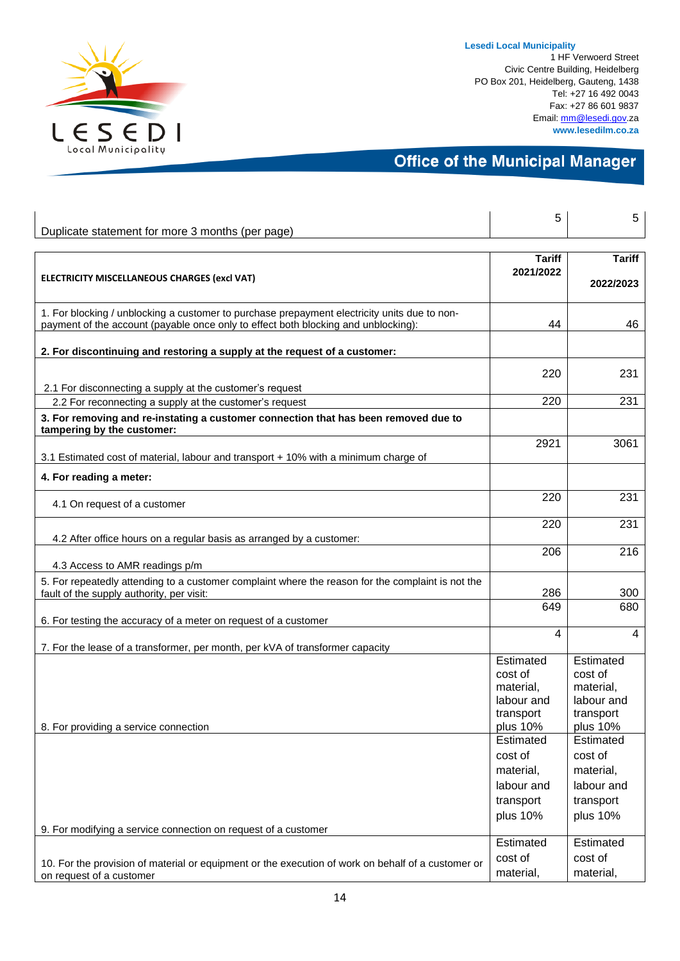

1 HF Verwoerd Street Civic Centre Building, Heidelberg PO Box 201, Heidelberg, Gauteng, 1438 Tel: +27 16 492 0043 Fax: +27 86 601 9837 Email[: mm@lesedi.gov.](mailto:mm@lesedi.gov)za **www.lesedilm.co.za**

|                                                                                                                   | 5              | 5             |
|-------------------------------------------------------------------------------------------------------------------|----------------|---------------|
| Duplicate statement for more 3 months (per page)                                                                  |                |               |
|                                                                                                                   | <b>Tariff</b>  | <b>Tariff</b> |
|                                                                                                                   | 2021/2022      |               |
| ELECTRICITY MISCELLANEOUS CHARGES (excl VAT)                                                                      |                | 2022/2023     |
| 1. For blocking / unblocking a customer to purchase prepayment electricity units due to non-                      |                |               |
| payment of the account (payable once only to effect both blocking and unblocking):                                | 44             | 46            |
|                                                                                                                   |                |               |
| 2. For discontinuing and restoring a supply at the request of a customer:                                         |                |               |
|                                                                                                                   | 220            | 231           |
| 2.1 For disconnecting a supply at the customer's request                                                          |                |               |
| 2.2 For reconnecting a supply at the customer's request                                                           | 220            | 231           |
| 3. For removing and re-instating a customer connection that has been removed due to<br>tampering by the customer: |                |               |
| 3.1 Estimated cost of material, labour and transport + 10% with a minimum charge of                               | 2921           | 3061          |
| 4. For reading a meter:                                                                                           |                |               |
|                                                                                                                   |                |               |
| 4.1 On request of a customer                                                                                      | 220            | 231           |
|                                                                                                                   | 220            | 231           |
| 4.2 After office hours on a regular basis as arranged by a customer:                                              |                |               |
| 4.3 Access to AMR readings p/m                                                                                    | 206            | 216           |
| 5. For repeatedly attending to a customer complaint where the reason for the complaint is not the                 |                |               |
| fault of the supply authority, per visit:                                                                         | 286            | 300           |
|                                                                                                                   | 649            | 680           |
| 6. For testing the accuracy of a meter on request of a customer                                                   |                |               |
| 7. For the lease of a transformer, per month, per kVA of transformer capacity                                     | $\overline{4}$ | 4             |
|                                                                                                                   | Estimated      | Estimated     |
|                                                                                                                   | cost of        | cost of       |
|                                                                                                                   | material,      | material,     |
|                                                                                                                   | labour and     | labour and    |
|                                                                                                                   | transport      | transport     |
| 8. For providing a service connection                                                                             | plus 10%       | plus 10%      |
|                                                                                                                   | Estimated      | Estimated     |
|                                                                                                                   | cost of        | cost of       |
|                                                                                                                   | material,      | material,     |
|                                                                                                                   | labour and     | labour and    |
|                                                                                                                   | transport      | transport     |
| 9. For modifying a service connection on request of a customer                                                    | plus 10%       | plus 10%      |
|                                                                                                                   | Estimated      | Estimated     |
| 10. For the provision of material or equipment or the execution of work on behalf of a customer or                | cost of        | cost of       |
| on request of a customer                                                                                          | material,      | material,     |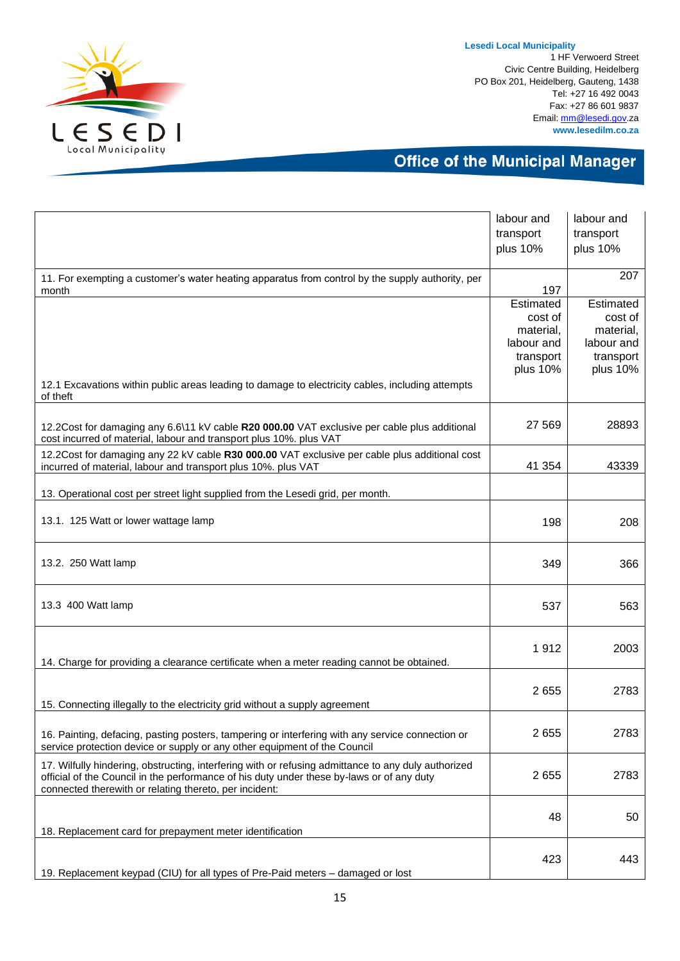

1 HF Verwoerd Street Civic Centre Building, Heidelberg PO Box 201, Heidelberg, Gauteng, 1438 Tel: +27 16 492 0043 Fax: +27 86 601 9837 Email[: mm@lesedi.gov.](mailto:mm@lesedi.gov)za **www.lesedilm.co.za**

|                                                                                                                                                                    | labour and | labour and            |
|--------------------------------------------------------------------------------------------------------------------------------------------------------------------|------------|-----------------------|
|                                                                                                                                                                    | transport  | transport             |
|                                                                                                                                                                    | plus 10%   | plus 10%              |
|                                                                                                                                                                    |            |                       |
| 11. For exempting a customer's water heating apparatus from control by the supply authority, per                                                                   |            | 207                   |
| month                                                                                                                                                              | 197        |                       |
|                                                                                                                                                                    | Estimated  | Estimated             |
|                                                                                                                                                                    | cost of    | cost of               |
|                                                                                                                                                                    | material,  | material,             |
|                                                                                                                                                                    | labour and | labour and            |
|                                                                                                                                                                    | transport  | transport<br>plus 10% |
|                                                                                                                                                                    | plus 10%   |                       |
| 12.1 Excavations within public areas leading to damage to electricity cables, including attempts<br>of theft                                                       |            |                       |
|                                                                                                                                                                    |            |                       |
|                                                                                                                                                                    | 27 5 69    | 28893                 |
| 12.2Cost for damaging any 6.6\11 kV cable R20 000.00 VAT exclusive per cable plus additional<br>cost incurred of material, labour and transport plus 10%. plus VAT |            |                       |
|                                                                                                                                                                    |            |                       |
| 12.2Cost for damaging any 22 kV cable R30 000.00 VAT exclusive per cable plus additional cost                                                                      | 41 354     | 43339                 |
| incurred of material, labour and transport plus 10%. plus VAT                                                                                                      |            |                       |
|                                                                                                                                                                    |            |                       |
| 13. Operational cost per street light supplied from the Lesedi grid, per month.                                                                                    |            |                       |
| 13.1. 125 Watt or lower wattage lamp                                                                                                                               | 198        | 208                   |
|                                                                                                                                                                    |            |                       |
|                                                                                                                                                                    |            |                       |
| 13.2. 250 Watt lamp                                                                                                                                                |            |                       |
|                                                                                                                                                                    | 349        | 366                   |
|                                                                                                                                                                    |            |                       |
|                                                                                                                                                                    |            |                       |
| 13.3 400 Watt lamp                                                                                                                                                 | 537        | 563                   |
|                                                                                                                                                                    |            |                       |
|                                                                                                                                                                    |            |                       |
|                                                                                                                                                                    | 1912       | 2003                  |
| 14. Charge for providing a clearance certificate when a meter reading cannot be obtained.                                                                          |            |                       |
|                                                                                                                                                                    |            |                       |
|                                                                                                                                                                    | 2655       | 2783                  |
| 15. Connecting illegally to the electricity grid without a supply agreement                                                                                        |            |                       |
|                                                                                                                                                                    |            |                       |
| 16. Painting, defacing, pasting posters, tampering or interfering with any service connection or                                                                   | 2655       | 2783                  |
| service protection device or supply or any other equipment of the Council                                                                                          |            |                       |
| 17. Wilfully hindering, obstructing, interfering with or refusing admittance to any duly authorized                                                                |            |                       |
| official of the Council in the performance of his duty under these by-laws or of any duty                                                                          | 2655       | 2783                  |
| connected therewith or relating thereto, per incident:                                                                                                             |            |                       |
|                                                                                                                                                                    |            |                       |
|                                                                                                                                                                    | 48         | 50                    |
| 18. Replacement card for prepayment meter identification                                                                                                           |            |                       |
|                                                                                                                                                                    |            |                       |
|                                                                                                                                                                    | 423        | 443                   |
| 19. Replacement keypad (CIU) for all types of Pre-Paid meters - damaged or lost                                                                                    |            |                       |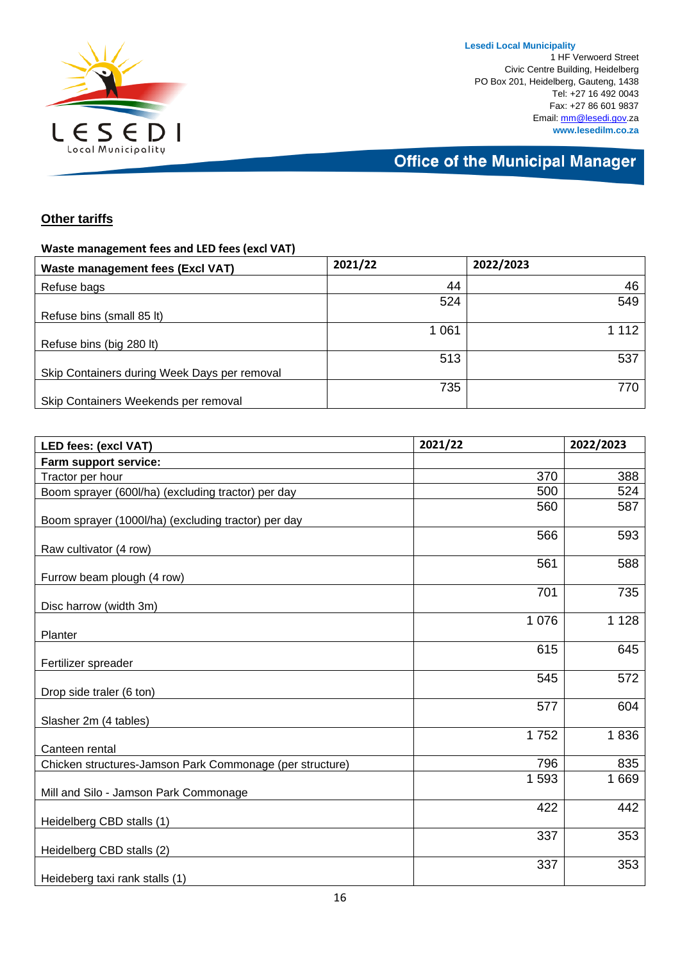

**Lesedi Local Municipality** 1 HF Verwoerd Street Civic Centre Building, Heidelberg PO Box 201, Heidelberg, Gauteng, 1438 Tel: +27 16 492 0043 Fax: +27 86 601 9837 Email[: mm@lesedi.gov.](mailto:mm@lesedi.gov)za **www.lesedilm.co.za**

## **Office of the Municipal Manager**

### **Other tariffs**

#### **Waste management fees and LED fees (excl VAT)**

| 2021/22 | 2022/2023 |
|---------|-----------|
| 44      | 46        |
| 524     | 549       |
|         |           |
| 1 0 6 1 | 112       |
|         |           |
| 513     | 537       |
|         |           |
| 735     | 770       |
|         |           |
|         |           |

| <b>LED fees: (excl VAT)</b>                              | 2021/22 | 2022/2023 |
|----------------------------------------------------------|---------|-----------|
| Farm support service:                                    |         |           |
| Tractor per hour                                         | 370     | 388       |
| Boom sprayer (600l/ha) (excluding tractor) per day       | 500     | 524       |
|                                                          | 560     | 587       |
| Boom sprayer (1000l/ha) (excluding tractor) per day      |         |           |
|                                                          | 566     | 593       |
| Raw cultivator (4 row)                                   |         |           |
|                                                          | 561     | 588       |
| Furrow beam plough (4 row)                               |         |           |
| Disc harrow (width 3m)                                   | 701     | 735       |
|                                                          | 1 0 7 6 | 1 1 2 8   |
| Planter                                                  |         |           |
|                                                          | 615     | 645       |
| Fertilizer spreader                                      |         |           |
|                                                          | 545     | 572       |
| Drop side traler (6 ton)                                 |         |           |
|                                                          | 577     | 604       |
| Slasher 2m (4 tables)                                    |         |           |
|                                                          | 1752    | 1836      |
| Canteen rental                                           |         |           |
| Chicken structures-Jamson Park Commonage (per structure) | 796     | 835       |
|                                                          | 1593    | 1669      |
| Mill and Silo - Jamson Park Commonage                    |         |           |
|                                                          | 422     | 442       |
| Heidelberg CBD stalls (1)                                |         |           |
|                                                          | 337     | 353       |
| Heidelberg CBD stalls (2)                                |         |           |
|                                                          | 337     | 353       |
| Heideberg taxi rank stalls (1)                           |         |           |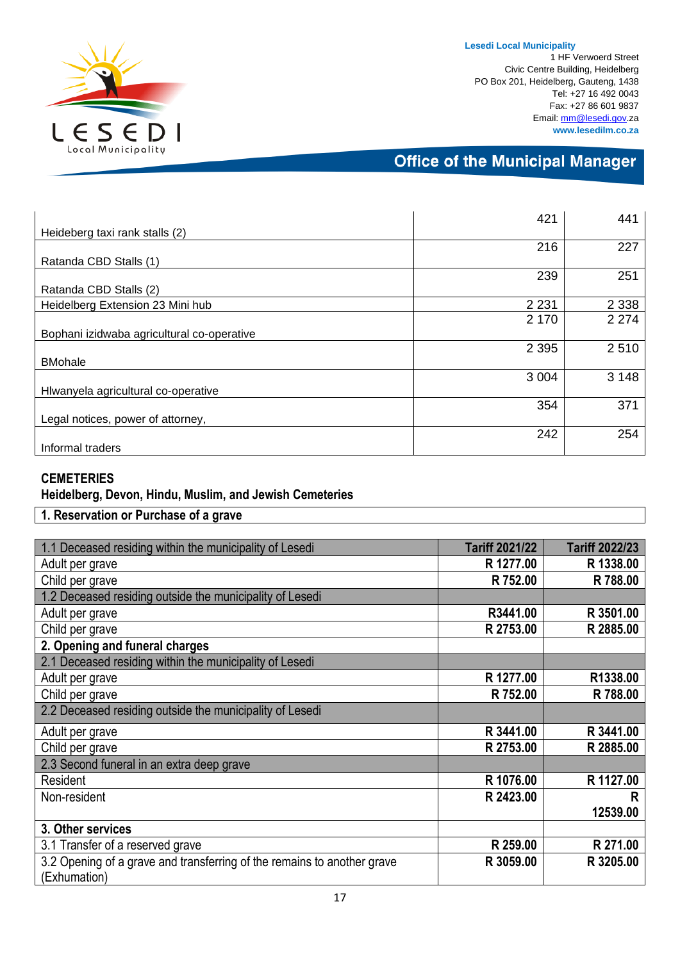

1 HF Verwoerd Street Civic Centre Building, Heidelberg PO Box 201, Heidelberg, Gauteng, 1438 Tel: +27 16 492 0043 Fax: +27 86 601 9837 Email[: mm@lesedi.gov.](mailto:mm@lesedi.gov)za **www.lesedilm.co.za**

### **Office of the Municipal Manager**

|                                            | 421     | 441     |
|--------------------------------------------|---------|---------|
| Heideberg taxi rank stalls (2)             |         |         |
|                                            | 216     | 227     |
| Ratanda CBD Stalls (1)                     |         |         |
|                                            | 239     | 251     |
| Ratanda CBD Stalls (2)                     |         |         |
| Heidelberg Extension 23 Mini hub           | 2 2 3 1 | 2 3 3 8 |
|                                            | 2 1 7 0 | 2 2 7 4 |
| Bophani izidwaba agricultural co-operative |         |         |
|                                            | 2 3 9 5 | 2510    |
| <b>BMohale</b>                             |         |         |
|                                            | 3 0 0 4 | 3 1 4 8 |
| Hiwanyela agricultural co-operative        |         |         |
|                                            | 354     | 371     |
| Legal notices, power of attorney,          |         |         |
|                                            | 242     | 254     |
| Informal traders                           |         |         |

#### **CEMETERIES**

### **Heidelberg, Devon, Hindu, Muslim, and Jewish Cemeteries**

### **1. Reservation or Purchase of a grave**

| 1.1 Deceased residing within the municipality of Lesedi                 | <b>Tariff 2021/22</b> | <b>Tariff 2022/23</b> |
|-------------------------------------------------------------------------|-----------------------|-----------------------|
|                                                                         |                       |                       |
| Adult per grave                                                         | R 1277.00             | R 1338.00             |
| Child per grave                                                         | R 752.00              | R 788.00              |
| 1.2 Deceased residing outside the municipality of Lesedi                |                       |                       |
| Adult per grave                                                         | R3441.00              | R 3501.00             |
| Child per grave                                                         | R 2753.00             | R 2885.00             |
| 2. Opening and funeral charges                                          |                       |                       |
| 2.1 Deceased residing within the municipality of Lesedi                 |                       |                       |
| Adult per grave                                                         | R 1277.00             | R1338.00              |
| Child per grave                                                         | R 752.00              | R 788.00              |
| 2.2 Deceased residing outside the municipality of Lesedi                |                       |                       |
| Adult per grave                                                         | R 3441.00             | R 3441.00             |
| Child per grave                                                         | R 2753.00             | R 2885.00             |
| 2.3 Second funeral in an extra deep grave                               |                       |                       |
| Resident                                                                | R 1076.00             | R 1127.00             |
| Non-resident                                                            | R 2423.00             | R                     |
|                                                                         |                       | 12539.00              |
| 3. Other services                                                       |                       |                       |
| 3.1 Transfer of a reserved grave                                        | R 259.00              | R 271.00              |
| 3.2 Opening of a grave and transferring of the remains to another grave | R 3059.00             | R 3205.00             |
| (Exhumation)                                                            |                       |                       |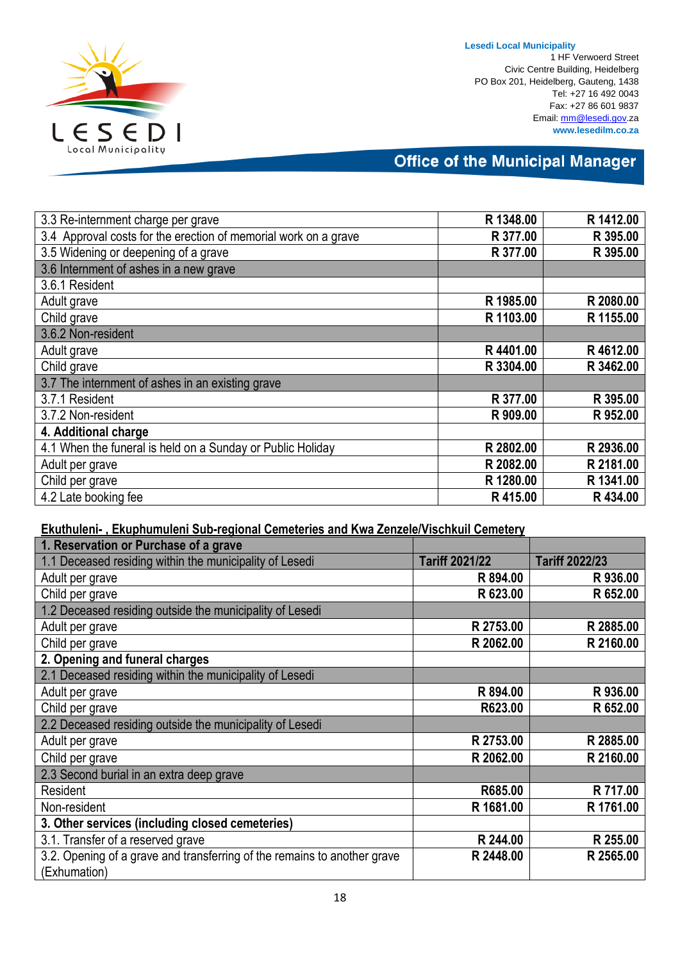

1 HF Verwoerd Street Civic Centre Building, Heidelberg PO Box 201, Heidelberg, Gauteng, 1438 Tel: +27 16 492 0043 Fax: +27 86 601 9837 Email[: mm@lesedi.gov.](mailto:mm@lesedi.gov)za **www.lesedilm.co.za**

### **Office of the Municipal Manager**

| 3.3 Re-internment charge per grave                              | R 1348.00 | R 1412.00 |
|-----------------------------------------------------------------|-----------|-----------|
| 3.4 Approval costs for the erection of memorial work on a grave | R 377.00  | R 395.00  |
| 3.5 Widening or deepening of a grave                            | R 377.00  | R 395.00  |
| 3.6 Internment of ashes in a new grave                          |           |           |
| 3.6.1 Resident                                                  |           |           |
| Adult grave                                                     | R 1985.00 | R 2080.00 |
| Child grave                                                     | R 1103.00 | R 1155.00 |
| 3.6.2 Non-resident                                              |           |           |
| Adult grave                                                     | R4401.00  | R4612.00  |
| Child grave                                                     | R 3304.00 | R 3462.00 |
| 3.7 The internment of ashes in an existing grave                |           |           |
| 3.7.1 Resident                                                  | R 377.00  | R 395.00  |
| 3.7.2 Non-resident                                              | R 909.00  | R 952.00  |
| 4. Additional charge                                            |           |           |
| 4.1 When the funeral is held on a Sunday or Public Holiday      | R 2802.00 | R 2936.00 |
| Adult per grave                                                 | R 2082.00 | R 2181.00 |
| Child per grave                                                 | R 1280.00 | R 1341.00 |
| 4.2 Late booking fee                                            | R415.00   | R434.00   |

### **Ekuthuleni- , Ekuphumuleni Sub-regional Cemeteries and Kwa Zenzele/Vischkuil Cemetery**

| 1. Reservation or Purchase of a grave                                                    |                       |                       |
|------------------------------------------------------------------------------------------|-----------------------|-----------------------|
| 1.1 Deceased residing within the municipality of Lesedi                                  | <b>Tariff 2021/22</b> | <b>Tariff 2022/23</b> |
| Adult per grave                                                                          | R 894.00              | R 936.00              |
| Child per grave                                                                          | R 623.00              | R 652.00              |
| 1.2 Deceased residing outside the municipality of Lesedi                                 |                       |                       |
| Adult per grave                                                                          | R 2753.00             | R 2885.00             |
| Child per grave                                                                          | R 2062.00             | R 2160.00             |
| 2. Opening and funeral charges                                                           |                       |                       |
| 2.1 Deceased residing within the municipality of Lesedi                                  |                       |                       |
| Adult per grave                                                                          | R 894.00              | R 936.00              |
| Child per grave                                                                          | R623.00               | R 652.00              |
| 2.2 Deceased residing outside the municipality of Lesedi                                 |                       |                       |
| Adult per grave                                                                          | R 2753.00             | R 2885.00             |
| Child per grave                                                                          | R 2062.00             | R 2160.00             |
| 2.3 Second burial in an extra deep grave                                                 |                       |                       |
| Resident                                                                                 | R685.00               | R 717.00              |
| Non-resident                                                                             | R 1681.00             | R 1761.00             |
| 3. Other services (including closed cemeteries)                                          |                       |                       |
| 3.1. Transfer of a reserved grave                                                        | R 244.00              | R 255.00              |
| 3.2. Opening of a grave and transferring of the remains to another grave<br>(Exhumation) | R 2448.00             | R 2565.00             |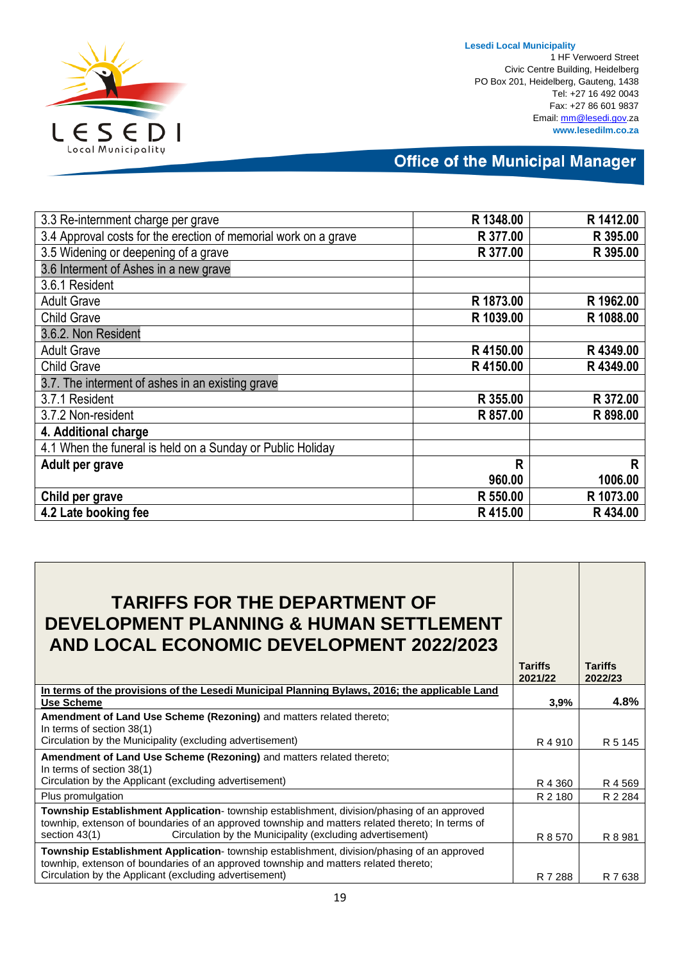

1 HF Verwoerd Street Civic Centre Building, Heidelberg PO Box 201, Heidelberg, Gauteng, 1438 Tel: +27 16 492 0043 Fax: +27 86 601 9837 Email[: mm@lesedi.gov.](mailto:mm@lesedi.gov)za **www.lesedilm.co.za**

| 3.3 Re-internment charge per grave                              | R 1348.00 | R 1412.00 |
|-----------------------------------------------------------------|-----------|-----------|
| 3.4 Approval costs for the erection of memorial work on a grave | R 377,00  | R 395.00  |
| 3.5 Widening or deepening of a grave                            | R 377.00  | R 395.00  |
| 3.6 Interment of Ashes in a new grave                           |           |           |
| 3.6.1 Resident                                                  |           |           |
| <b>Adult Grave</b>                                              | R 1873.00 | R 1962.00 |
| <b>Child Grave</b>                                              | R 1039.00 | R 1088.00 |
| 3.6.2. Non Resident                                             |           |           |
| <b>Adult Grave</b>                                              | R4150.00  | R4349.00  |
| <b>Child Grave</b>                                              | R4150.00  | R4349.00  |
| 3.7. The interment of ashes in an existing grave                |           |           |
| 3.7.1 Resident                                                  | R 355.00  | R 372.00  |
| 3.7.2 Non-resident                                              | R 857.00  | R 898.00  |
| 4. Additional charge                                            |           |           |
| 4.1 When the funeral is held on a Sunday or Public Holiday      |           |           |
| Adult per grave                                                 | R         | R         |
|                                                                 | 960.00    | 1006.00   |
| Child per grave                                                 | R 550,00  | R 1073.00 |
| 4.2 Late booking fee                                            | R415.00   | R434.00   |

| <b>TARIFFS FOR THE DEPARTMENT OF</b><br><b>DEVELOPMENT PLANNING &amp; HUMAN SETTLEMENT</b><br>AND LOCAL ECONOMIC DEVELOPMENT 2022/2023                                                                                                                                          | <b>Tariffs</b> | <b>Tariffs</b> |
|---------------------------------------------------------------------------------------------------------------------------------------------------------------------------------------------------------------------------------------------------------------------------------|----------------|----------------|
|                                                                                                                                                                                                                                                                                 | 2021/22        | 2022/23        |
| In terms of the provisions of the Lesedi Municipal Planning Bylaws, 2016; the applicable Land<br><b>Use Scheme</b>                                                                                                                                                              | 3,9%           | 4.8%           |
| Amendment of Land Use Scheme (Rezoning) and matters related thereto;<br>In terms of section 38(1)                                                                                                                                                                               |                |                |
| Circulation by the Municipality (excluding advertisement)                                                                                                                                                                                                                       | R4910          | R 5 145        |
| Amendment of Land Use Scheme (Rezoning) and matters related thereto;                                                                                                                                                                                                            |                |                |
| In terms of section 38(1)<br>Circulation by the Applicant (excluding advertisement)                                                                                                                                                                                             | R 4 360        | R 4 569        |
| Plus promulgation                                                                                                                                                                                                                                                               | R 2 180        | R 2 2 8 4      |
| Township Establishment Application- township establishment, division/phasing of an approved<br>townhip, extenson of boundaries of an approved township and matters related thereto; In terms of<br>Circulation by the Municipality (excluding advertisement)<br>section $43(1)$ | R 8 570        | R 8 981        |
| Township Establishment Application- township establishment, division/phasing of an approved<br>townhip, extenson of boundaries of an approved township and matters related thereto;<br>Circulation by the Applicant (excluding advertisement)                                   | R 7 288        | R 7638         |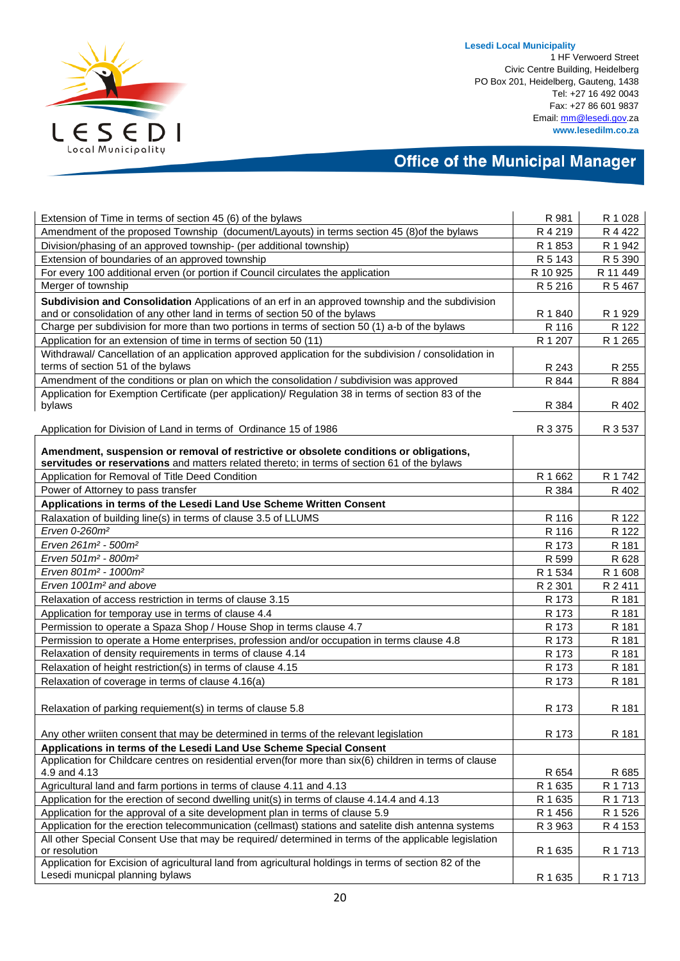

1 HF Verwoerd Street Civic Centre Building, Heidelberg PO Box 201, Heidelberg, Gauteng, 1438 Tel: +27 16 492 0043 Fax: +27 86 601 9837 Email[: mm@lesedi.gov.](mailto:mm@lesedi.gov)za **www.lesedilm.co.za**

| Extension of Time in terms of section 45 (6) of the bylaws                                                                                                                             | R 981    | R 1 0 28  |
|----------------------------------------------------------------------------------------------------------------------------------------------------------------------------------------|----------|-----------|
| Amendment of the proposed Township (document/Layouts) in terms section 45 (8) of the bylaws                                                                                            | R 4 219  | R 4 4 2 2 |
| Division/phasing of an approved township- (per additional township)                                                                                                                    | R 1853   | R 1 942   |
| Extension of boundaries of an approved township                                                                                                                                        | R 5 143  | R 5 390   |
| For every 100 additional erven (or portion if Council circulates the application                                                                                                       | R 10 925 | R 11 449  |
| Merger of township                                                                                                                                                                     | R 5 216  | R 5 467   |
| Subdivision and Consolidation Applications of an erf in an approved township and the subdivision                                                                                       |          |           |
| and or consolidation of any other land in terms of section 50 of the bylaws                                                                                                            | R 1 840  | R 1 929   |
| Charge per subdivision for more than two portions in terms of section 50 (1) a-b of the bylaws                                                                                         | R 116    | R 122     |
| Application for an extension of time in terms of section 50 (11)                                                                                                                       | R 1 207  | R 1 265   |
| Withdrawal/ Cancellation of an application approved application for the subdivision / consolidation in<br>terms of section 51 of the bylaws                                            | R 243    | R 255     |
| Amendment of the conditions or plan on which the consolidation / subdivision was approved                                                                                              | R 844    | R 884     |
| Application for Exemption Certificate (per application)/ Regulation 38 in terms of section 83 of the                                                                                   |          |           |
| bylaws                                                                                                                                                                                 | R 384    | R 402     |
| Application for Division of Land in terms of Ordinance 15 of 1986                                                                                                                      | R 3 375  | R 3 537   |
| Amendment, suspension or removal of restrictive or obsolete conditions or obligations,<br>servitudes or reservations and matters related thereto; in terms of section 61 of the bylaws |          |           |
| Application for Removal of Title Deed Condition                                                                                                                                        | R 1 662  | R 1 742   |
| Power of Attorney to pass transfer                                                                                                                                                     | R 384    | R 402     |
| Applications in terms of the Lesedi Land Use Scheme Written Consent                                                                                                                    |          |           |
| Ralaxation of building line(s) in terms of clause 3.5 of LLUMS                                                                                                                         | R 116    | R 122     |
| Erven 0-260m <sup>2</sup>                                                                                                                                                              | R 116    | R 122     |
| Erven 261m <sup>2</sup> - 500m <sup>2</sup>                                                                                                                                            | R 173    | R 181     |
| Erven 501m <sup>2</sup> - 800m <sup>2</sup>                                                                                                                                            | R 599    | R 628     |
| Erven 801m <sup>2</sup> - 1000m <sup>2</sup>                                                                                                                                           | R 1 534  | R 1 608   |
| Erven 1001m <sup>2</sup> and above                                                                                                                                                     | R 2 301  | R 2 411   |
| Relaxation of access restriction in terms of clause 3.15                                                                                                                               | R 173    | R 181     |
| Application for temporay use in terms of clause 4.4                                                                                                                                    | R 173    | R 181     |
| Permission to operate a Spaza Shop / House Shop in terms clause 4.7                                                                                                                    | R 173    | R 181     |
| Permission to operate a Home enterprises, profession and/or occupation in terms clause 4.8                                                                                             | R 173    | R 181     |
| Relaxation of density requirements in terms of clause 4.14                                                                                                                             | R 173    | R 181     |
| Relaxation of height restriction(s) in terms of clause 4.15                                                                                                                            | R 173    | R 181     |
| Relaxation of coverage in terms of clause 4.16(a)                                                                                                                                      | R 173    | R 181     |
| Relaxation of parking requiement(s) in terms of clause 5.8                                                                                                                             | R 173    | R 181     |
| Any other wriiten consent that may be determined in terms of the relevant legislation                                                                                                  | R 173    | R 181     |
| Applications in terms of the Lesedi Land Use Scheme Special Consent                                                                                                                    |          |           |
| Application for Childcare centres on residential erven(for more than six(6) children in terms of clause<br>4.9 and 4.13                                                                | R 654    | R 685     |
| Agricultural land and farm portions in terms of clause 4.11 and 4.13                                                                                                                   | R 1 635  | R 1 713   |
| Application for the erection of second dwelling unit(s) in terms of clause 4.14.4 and 4.13                                                                                             | R 1 635  | R 1 713   |
| Application for the approval of a site development plan in terms of clause 5.9                                                                                                         | R 1 456  | R 1 526   |
| Application for the erection telecommunication (cellmast) stations and satelite dish antenna systems                                                                                   | R 3 963  | R 4 153   |
| All other Special Consent Use that may be required/ determined in terms of the applicable legislation                                                                                  |          |           |
| or resolution                                                                                                                                                                          | R 1 635  | R 1 713   |
| Application for Excision of agricultural land from agricultural holdings in terms of section 82 of the<br>Lesedi municpal planning bylaws                                              | R 1 635  | R 1 713   |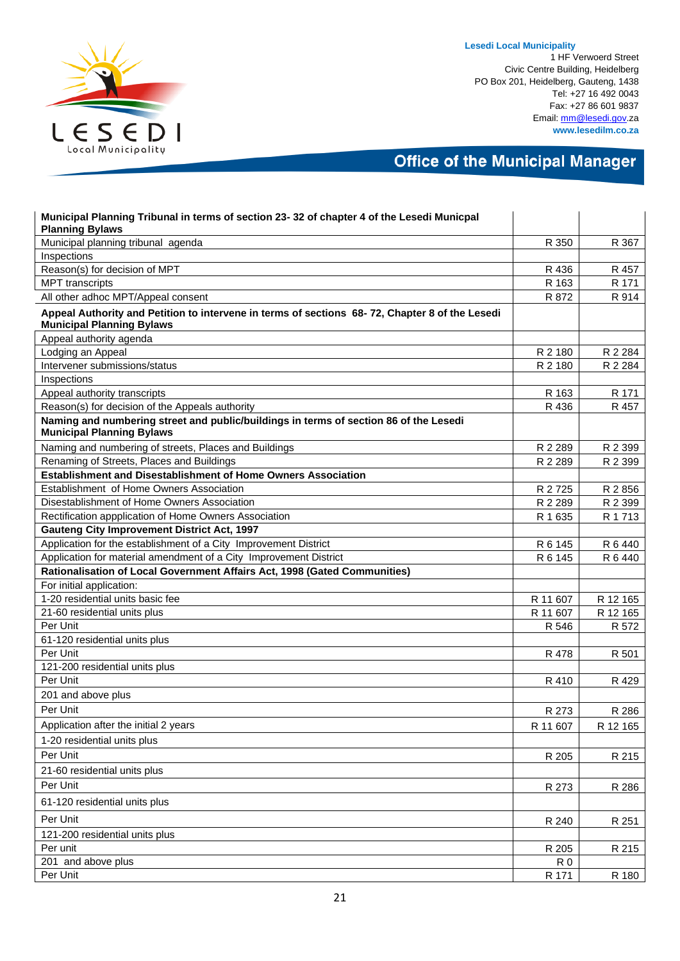

1 HF Verwoerd Street Civic Centre Building, Heidelberg PO Box 201, Heidelberg, Gauteng, 1438 Tel: +27 16 492 0043 Fax: +27 86 601 9837 Email[: mm@lesedi.gov.](mailto:mm@lesedi.gov)za **www.lesedilm.co.za**

| Municipal Planning Tribunal in terms of section 23-32 of chapter 4 of the Lesedi Municpal<br><b>Planning Bylaws</b>                |                |          |
|------------------------------------------------------------------------------------------------------------------------------------|----------------|----------|
| Municipal planning tribunal agenda                                                                                                 | R 350          | R 367    |
| Inspections                                                                                                                        |                |          |
| Reason(s) for decision of MPT                                                                                                      | R 436          | R 457    |
| <b>MPT</b> transcripts                                                                                                             | R 163          | R 171    |
| All other adhoc MPT/Appeal consent                                                                                                 | R 872          | R 914    |
| Appeal Authority and Petition to intervene in terms of sections 68-72, Chapter 8 of the Lesedi<br><b>Municipal Planning Bylaws</b> |                |          |
| Appeal authority agenda                                                                                                            |                |          |
| Lodging an Appeal                                                                                                                  | R 2 180        | R 2 284  |
| Intervener submissions/status                                                                                                      | R 2 180        | R 2 284  |
| Inspections                                                                                                                        |                |          |
| Appeal authority transcripts                                                                                                       | R 163          | R 171    |
| Reason(s) for decision of the Appeals authority                                                                                    | R 436          | R 457    |
| Naming and numbering street and public/buildings in terms of section 86 of the Lesedi<br><b>Municipal Planning Bylaws</b>          |                |          |
| Naming and numbering of streets, Places and Buildings                                                                              | R 2 289        | R 2 399  |
| Renaming of Streets, Places and Buildings                                                                                          | R 2 2 8 9      | R 2 399  |
| Establishment and Disestablishment of Home Owners Association                                                                      |                |          |
| Establishment of Home Owners Association                                                                                           | R 2725         | R 2 856  |
| Disestablishment of Home Owners Association                                                                                        | R 2 289        | R 2 399  |
| Rectification appplication of Home Owners Association                                                                              | R 1 635        | R 1 713  |
| <b>Gauteng City Improvement District Act, 1997</b>                                                                                 |                |          |
| Application for the establishment of a City Improvement District                                                                   | R 6 145        | R 6 440  |
| Application for material amendment of a City Improvement District                                                                  | R 6 145        | R 6 440  |
| Rationalisation of Local Government Affairs Act, 1998 (Gated Communities)                                                          |                |          |
| For initial application:                                                                                                           |                |          |
| 1-20 residential units basic fee                                                                                                   | R 11 607       | R 12 165 |
| 21-60 residential units plus                                                                                                       | R 11 607       | R 12 165 |
| Per Unit                                                                                                                           | R 546          | R 572    |
| 61-120 residential units plus                                                                                                      |                |          |
| Per Unit                                                                                                                           | R 478          | R 501    |
| 121-200 residential units plus                                                                                                     |                |          |
| Per Unit                                                                                                                           | R 410          | R 429    |
| 201 and above plus                                                                                                                 |                |          |
| Per Unit                                                                                                                           | R 273          | R 286    |
| Application after the initial 2 years                                                                                              | R 11 607       | R 12 165 |
| 1-20 residential units plus                                                                                                        |                |          |
| Per Unit                                                                                                                           | R 205          | R 215    |
| 21-60 residential units plus                                                                                                       |                |          |
| Per Unit                                                                                                                           | R 273          | R 286    |
| 61-120 residential units plus                                                                                                      |                |          |
| Per Unit                                                                                                                           | R 240          | R 251    |
| 121-200 residential units plus                                                                                                     |                |          |
| Per unit                                                                                                                           | R 205          | R 215    |
| 201 and above plus                                                                                                                 | R <sub>0</sub> |          |
| Per Unit                                                                                                                           | R 171          | R 180    |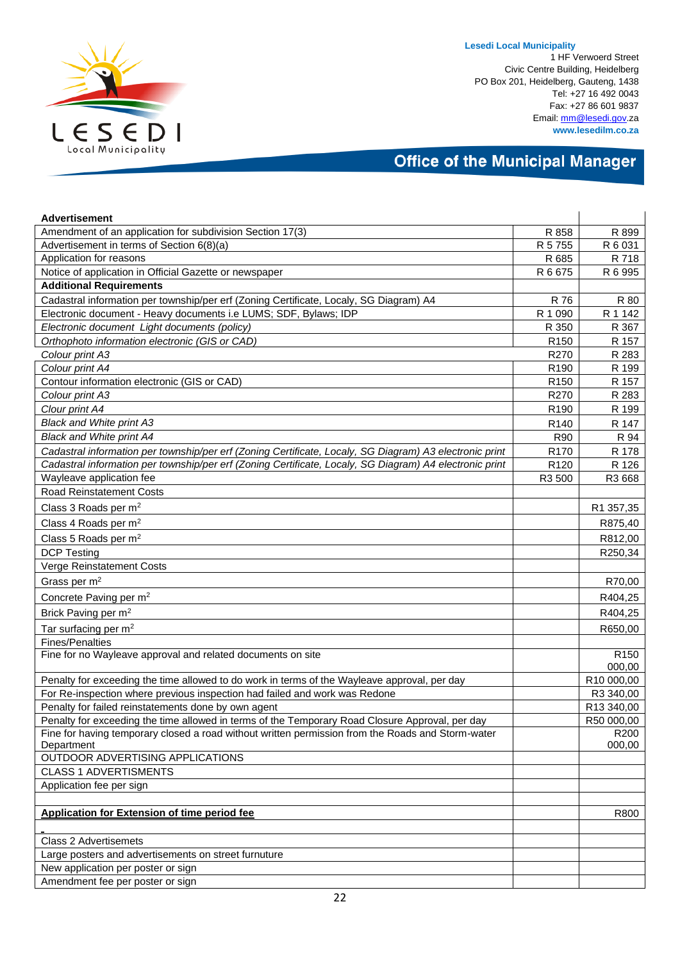

1 HF Verwoerd Street Civic Centre Building, Heidelberg PO Box 201, Heidelberg, Gauteng, 1438 Tel: +27 16 492 0043 Fax: +27 86 601 9837 Email[: mm@lesedi.gov.](mailto:mm@lesedi.gov)za **www.lesedilm.co.za**

| <b>Advertisement</b>                                                                                    |                  |                  |
|---------------------------------------------------------------------------------------------------------|------------------|------------------|
| Amendment of an application for subdivision Section 17(3)                                               | R 858            | R 899            |
| Advertisement in terms of Section 6(8)(a)                                                               | R 5 7 5 5        | R 6 031          |
| Application for reasons                                                                                 | R 685            | R 718            |
| Notice of application in Official Gazette or newspaper                                                  | R 6 675          | R 6 995          |
| <b>Additional Requirements</b>                                                                          |                  |                  |
| Cadastral information per township/per erf (Zoning Certificate, Localy, SG Diagram) A4                  | R 76             | R 80             |
| Electronic document - Heavy documents i.e LUMS; SDF, Bylaws; IDP                                        | R 1 0 9 0        | R 1 142          |
| Electronic document Light documents (policy)                                                            | R 350            | R 367            |
| Orthophoto information electronic (GIS or CAD)                                                          | R <sub>150</sub> | R 157            |
| Colour print A3                                                                                         | R270             | R 283            |
| Colour print A4                                                                                         | R <sub>190</sub> | R 199            |
| Contour information electronic (GIS or CAD)                                                             | R <sub>150</sub> | R 157            |
| Colour print A3                                                                                         | R270             | R 283            |
| Clour print A4                                                                                          | R <sub>190</sub> | R 199            |
| <b>Black and White print A3</b>                                                                         | R <sub>140</sub> | R 147            |
| <b>Black and White print A4</b>                                                                         | R90              | R 94             |
| Cadastral information per township/per erf (Zoning Certificate, Localy, SG Diagram) A3 electronic print | R <sub>170</sub> | R 178            |
| Cadastral information per township/per erf (Zoning Certificate, Localy, SG Diagram) A4 electronic print | R <sub>120</sub> | R 126            |
| Wayleave application fee                                                                                | R3 500           | R3 668           |
| Road Reinstatement Costs                                                                                |                  |                  |
| Class 3 Roads per m <sup>2</sup>                                                                        |                  | R1 357,35        |
| Class 4 Roads per $m2$                                                                                  |                  | R875,40          |
| Class 5 Roads per m <sup>2</sup>                                                                        |                  | R812,00          |
| <b>DCP Testing</b>                                                                                      |                  | R250,34          |
| Verge Reinstatement Costs                                                                               |                  |                  |
| Grass per $m2$                                                                                          |                  | R70,00           |
| Concrete Paving per m <sup>2</sup>                                                                      |                  | R404,25          |
| Brick Paving per m <sup>2</sup>                                                                         |                  | R404,25          |
| Tar surfacing per $m2$                                                                                  |                  | R650,00          |
| <b>Fines/Penalties</b>                                                                                  |                  |                  |
| Fine for no Wayleave approval and related documents on site                                             |                  | R <sub>150</sub> |
|                                                                                                         |                  | 000,00           |
| Penalty for exceeding the time allowed to do work in terms of the Wayleave approval, per day            |                  | R10 000,00       |
| For Re-inspection where previous inspection had failed and work was Redone                              |                  | R3 340,00        |
| Penalty for failed reinstatements done by own agent                                                     |                  | R13 340,00       |
| Penalty for exceeding the time allowed in terms of the Temporary Road Closure Approval, per day         |                  | R50 000,00       |
| Fine for having temporary closed a road without written permission from the Roads and Storm-water       |                  | R <sub>200</sub> |
| Department                                                                                              |                  | 000,00           |
| OUTDOOR ADVERTISING APPLICATIONS                                                                        |                  |                  |
| <b>CLASS 1 ADVERTISMENTS</b>                                                                            |                  |                  |
| Application fee per sign                                                                                |                  |                  |
| <b>Application for Extension of time period fee</b>                                                     |                  | R800             |
|                                                                                                         |                  |                  |
| Class 2 Advertisemets                                                                                   |                  |                  |
| Large posters and advertisements on street furnuture                                                    |                  |                  |
| New application per poster or sign                                                                      |                  |                  |
| Amendment fee per poster or sign                                                                        |                  |                  |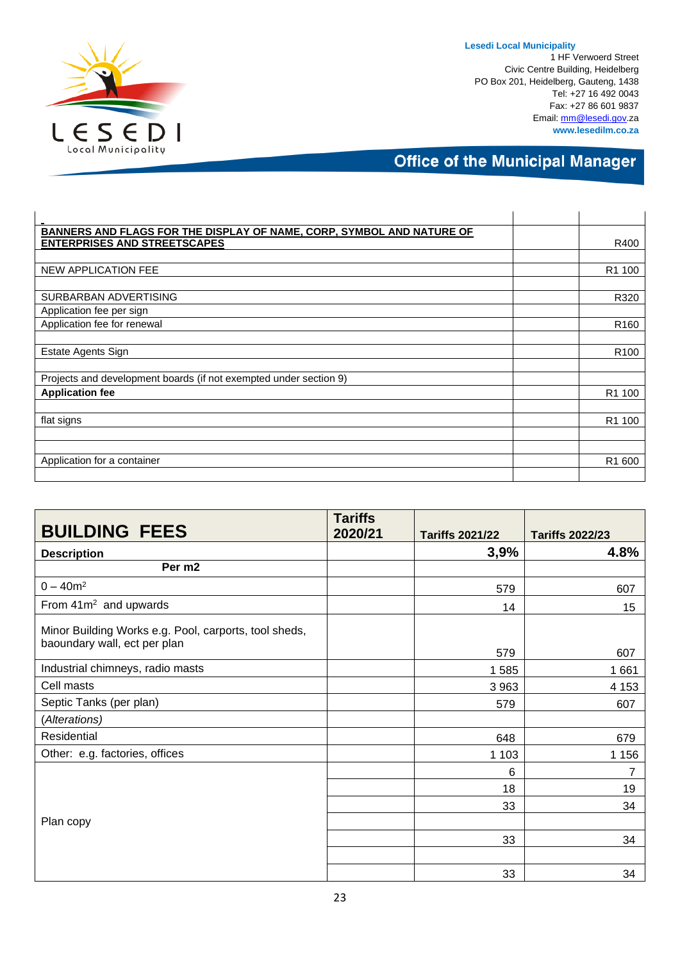

1 HF Verwoerd Street Civic Centre Building, Heidelberg PO Box 201, Heidelberg, Gauteng, 1438 Tel: +27 16 492 0043 Fax: +27 86 601 9837 Email[: mm@lesedi.gov.](mailto:mm@lesedi.gov)za **www.lesedilm.co.za**

| BANNERS AND FLAGS FOR THE DISPLAY OF NAME, CORP, SYMBOL AND NATURE OF |                    |
|-----------------------------------------------------------------------|--------------------|
| <b>ENTERPRISES AND STREETSCAPES</b>                                   | R400               |
|                                                                       |                    |
| NEW APPLICATION FEE                                                   | R1 100             |
|                                                                       |                    |
| SURBARBAN ADVERTISING                                                 | R320               |
| Application fee per sign                                              |                    |
| Application fee for renewal                                           | R <sub>160</sub>   |
|                                                                       |                    |
| Estate Agents Sign                                                    | R <sub>100</sub>   |
|                                                                       |                    |
| Projects and development boards (if not exempted under section 9)     |                    |
| <b>Application fee</b>                                                | R <sub>1</sub> 100 |
|                                                                       |                    |
| flat signs                                                            | R1 100             |
|                                                                       |                    |
|                                                                       |                    |
| Application for a container                                           | R1 600             |
|                                                                       |                    |

| <b>BUILDING FEES</b>                                                                  | <b>Tariffs</b><br>2020/21 | <b>Tariffs 2021/22</b> | <b>Tariffs 2022/23</b> |
|---------------------------------------------------------------------------------------|---------------------------|------------------------|------------------------|
| <b>Description</b>                                                                    |                           | 3,9%                   | 4.8%                   |
| Per m2                                                                                |                           |                        |                        |
| $0 - 40m^2$                                                                           |                           | 579                    | 607                    |
| From 41m <sup>2</sup> and upwards                                                     |                           | 14                     | 15                     |
| Minor Building Works e.g. Pool, carports, tool sheds,<br>baoundary wall, ect per plan |                           |                        |                        |
| Industrial chimneys, radio masts                                                      |                           | 579                    | 607                    |
| Cell masts                                                                            |                           | 1585<br>3 9 6 3        | 1661<br>4 1 5 3        |
| Septic Tanks (per plan)                                                               |                           | 579                    | 607                    |
| (Alterations)                                                                         |                           |                        |                        |
| Residential                                                                           |                           | 648                    | 679                    |
| Other: e.g. factories, offices                                                        |                           | 1 1 0 3                | 1 1 5 6                |
|                                                                                       |                           | 6                      | 7                      |
|                                                                                       |                           | 18                     | 19                     |
|                                                                                       |                           | 33                     | 34                     |
| Plan copy                                                                             |                           |                        |                        |
|                                                                                       |                           | 33                     | 34                     |
|                                                                                       |                           |                        |                        |
|                                                                                       |                           | 33                     | 34                     |